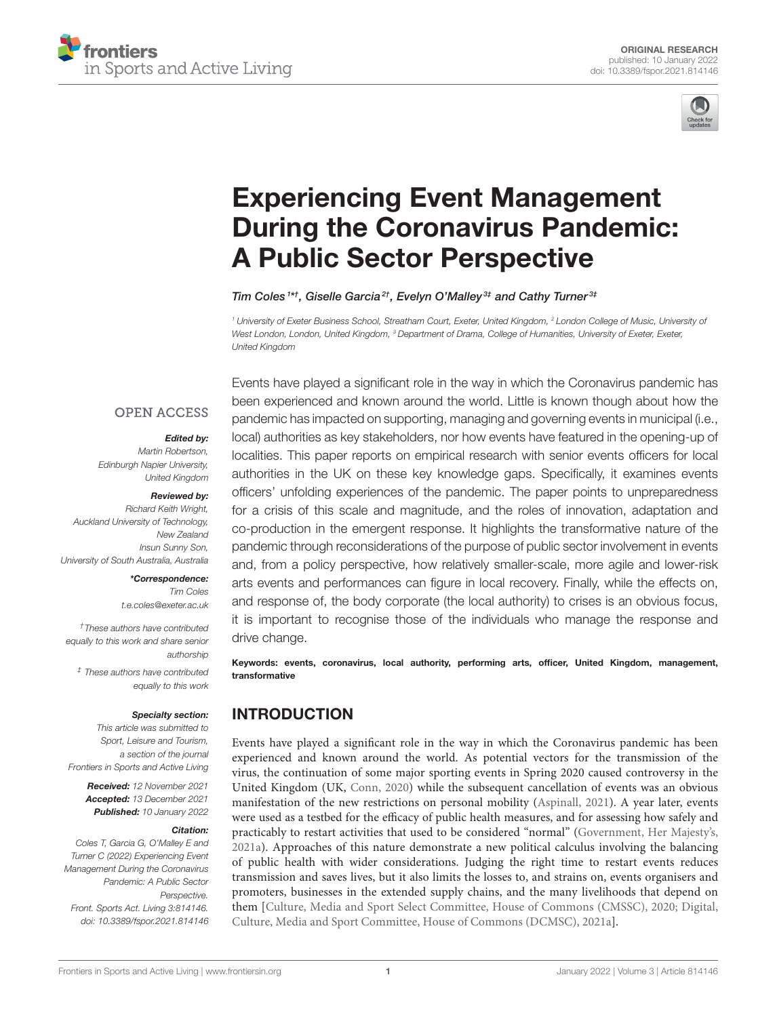



# Experiencing Event Management [During the Coronavirus Pandemic:](https://www.frontiersin.org/articles/10.3389/fspor.2021.814146/full) A Public Sector Perspective

Tim Coles<sup>1\*†</sup>, Giselle Garcia<sup>2†</sup>, Evelyn O'Malley<sup>3‡</sup> and Cathy Turner<sup>3‡</sup>

*<sup>1</sup> University of Exeter Business School, Streatham Court, Exeter, United Kingdom, <sup>2</sup> London College of Music, University of West London, London, United Kingdom, <sup>3</sup> Department of Drama, College of Humanities, University of Exeter, Exeter, United Kingdom*

#### **OPEN ACCESS**

#### Edited by:

*Martin Robertson, Edinburgh Napier University, United Kingdom*

#### Reviewed by:

*Richard Keith Wright, Auckland University of Technology, New Zealand Insun Sunny Son, University of South Australia, Australia*

#### \*Correspondence:

*Tim Coles [t.e.coles@exeter.ac.uk](mailto:t.e.coles@exeter.ac.uk)*

*†These authors have contributed equally to this work and share senior authorship*

*‡ These authors have contributed equally to this work*

#### Specialty section:

*This article was submitted to Sport, Leisure and Tourism, a section of the journal Frontiers in Sports and Active Living*

Received: *12 November 2021* Accepted: *13 December 2021* Published: *10 January 2022*

#### Citation:

*Coles T, Garcia G, O'Malley E and Turner C (2022) Experiencing Event Management During the Coronavirus Pandemic: A Public Sector Perspective. Front. Sports Act. Living 3:814146. doi: [10.3389/fspor.2021.814146](https://doi.org/10.3389/fspor.2021.814146)*

Events have played a significant role in the way in which the Coronavirus pandemic has been experienced and known around the world. Little is known though about how the pandemic has impacted on supporting, managing and governing events in municipal (i.e., local) authorities as key stakeholders, nor how events have featured in the opening-up of localities. This paper reports on empirical research with senior events officers for local authorities in the UK on these key knowledge gaps. Specifically, it examines events officers' unfolding experiences of the pandemic. The paper points to unpreparedness for a crisis of this scale and magnitude, and the roles of innovation, adaptation and co-production in the emergent response. It highlights the transformative nature of the pandemic through reconsiderations of the purpose of public sector involvement in events and, from a policy perspective, how relatively smaller-scale, more agile and lower-risk arts events and performances can figure in local recovery. Finally, while the effects on, and response of, the body corporate (the local authority) to crises is an obvious focus, it is important to recognise those of the individuals who manage the response and drive change.

Keywords: events, coronavirus, local authority, performing arts, officer, United Kingdom, management, transformative

# INTRODUCTION

Events have played a significant role in the way in which the Coronavirus pandemic has been experienced and known around the world. As potential vectors for the transmission of the virus, the continuation of some major sporting events in Spring 2020 caused controversy in the United Kingdom (UK, [Conn, 2020\)](#page-12-0) while the subsequent cancellation of events was an obvious manifestation of the new restrictions on personal mobility [\(Aspinall, 2021\)](#page-12-1). A year later, events were used as a testbed for the efficacy of public health measures, and for assessing how safely and practicably to restart activities that used to be considered "normal" [\(Government, Her Majesty's,](#page-13-0) [2021a\)](#page-13-0). Approaches of this nature demonstrate a new political calculus involving the balancing of public health with wider considerations. Judging the right time to restart events reduces transmission and saves lives, but it also limits the losses to, and strains on, events organisers and promoters, businesses in the extended supply chains, and the many livelihoods that depend on them [\[Culture, Media and Sport Select Committee, House of Commons \(CMSSC\), 2020;](#page-12-2) Digital, Culture, Media and Sport Committee, House of Commons (DCMSC), [2021a\]](#page-13-1).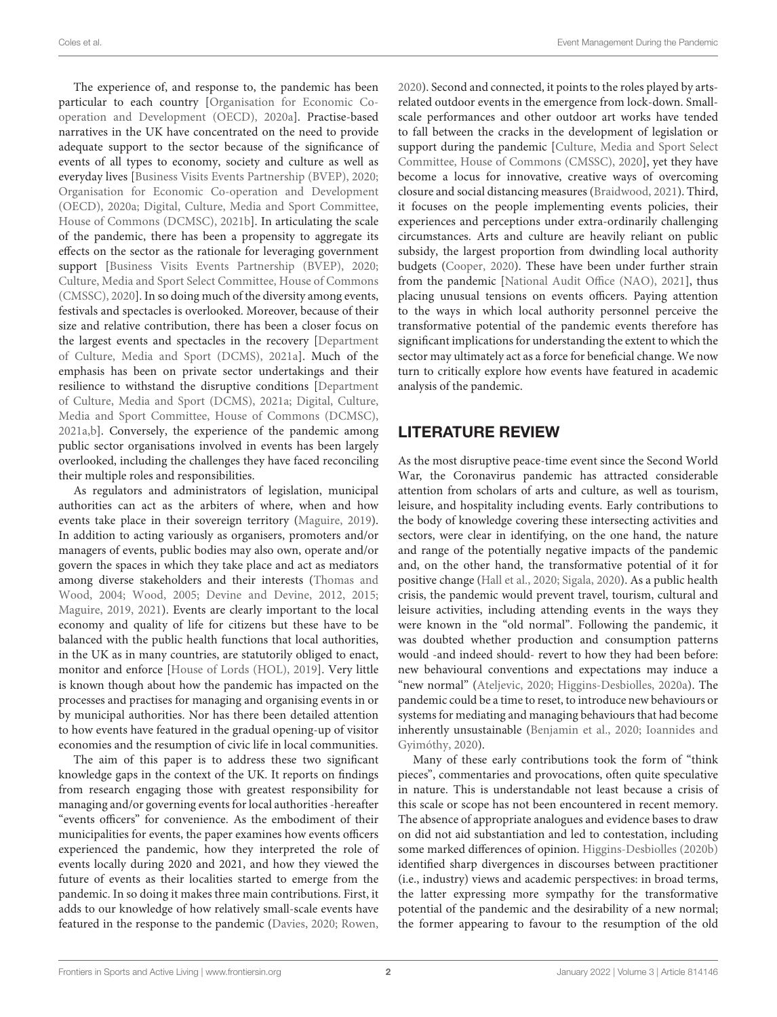The experience of, and response to, the pandemic has been particular to each country [Organisation for Economic Cooperation and Development (OECD), [2020a\]](#page-13-2). Practise-based narratives in the UK have concentrated on the need to provide adequate support to the sector because of the significance of events of all types to economy, society and culture as well as everyday lives [\[Business Visits Events Partnership \(BVEP\), 2020;](#page-12-3) Organisation for Economic Co-operation and Development (OECD), [2020a;](#page-13-2) Digital, Culture, Media and Sport Committee, House of Commons (DCMSC), [2021b\]](#page-13-3). In articulating the scale of the pandemic, there has been a propensity to aggregate its effects on the sector as the rationale for leveraging government support [\[Business Visits Events Partnership \(BVEP\), 2020;](#page-12-3) Culture, Media and Sport Select Committee, House of Commons (CMSSC), [2020\]](#page-12-2). In so doing much of the diversity among events, festivals and spectacles is overlooked. Moreover, because of their size and relative contribution, there has been a closer focus on the largest events and spectacles in the recovery [Department of Culture, Media and Sport (DCMS), [2021a\]](#page-12-4). Much of the emphasis has been on private sector undertakings and their resilience to withstand the disruptive conditions [Department of Culture, Media and Sport (DCMS), [2021a;](#page-12-4) Digital, Culture, Media and Sport Committee, House of Commons (DCMSC), [2021a](#page-13-1)[,b\]](#page-13-3). Conversely, the experience of the pandemic among public sector organisations involved in events has been largely overlooked, including the challenges they have faced reconciling their multiple roles and responsibilities.

As regulators and administrators of legislation, municipal authorities can act as the arbiters of where, when and how events take place in their sovereign territory [\(Maguire, 2019\)](#page-13-4). In addition to acting variously as organisers, promoters and/or managers of events, public bodies may also own, operate and/or govern the spaces in which they take place and act as mediators among diverse stakeholders and their interests (Thomas and Wood, [2004;](#page-14-0) [Wood, 2005;](#page-14-1) [Devine and Devine, 2012,](#page-13-5) [2015;](#page-13-6) [Maguire, 2019,](#page-13-4) [2021\)](#page-13-7). Events are clearly important to the local economy and quality of life for citizens but these have to be balanced with the public health functions that local authorities, in the UK as in many countries, are statutorily obliged to enact, monitor and enforce [\[House of Lords \(HOL\), 2019\]](#page-13-8). Very little is known though about how the pandemic has impacted on the processes and practises for managing and organising events in or by municipal authorities. Nor has there been detailed attention to how events have featured in the gradual opening-up of visitor economies and the resumption of civic life in local communities.

The aim of this paper is to address these two significant knowledge gaps in the context of the UK. It reports on findings from research engaging those with greatest responsibility for managing and/or governing events for local authorities -hereafter "events officers" for convenience. As the embodiment of their municipalities for events, the paper examines how events officers experienced the pandemic, how they interpreted the role of events locally during 2020 and 2021, and how they viewed the future of events as their localities started to emerge from the pandemic. In so doing it makes three main contributions. First, it adds to our knowledge of how relatively small-scale events have featured in the response to the pandemic [\(Davies, 2020;](#page-12-5) [Rowen,](#page-14-2) [2020\)](#page-14-2). Second and connected, it points to the roles played by artsrelated outdoor events in the emergence from lock-down. Smallscale performances and other outdoor art works have tended to fall between the cracks in the development of legislation or support during the pandemic [Culture, Media and Sport Select Committee, House of Commons (CMSSC), [2020\]](#page-12-2), yet they have become a locus for innovative, creative ways of overcoming closure and social distancing measures [\(Braidwood, 2021\)](#page-12-6). Third, it focuses on the people implementing events policies, their experiences and perceptions under extra-ordinarily challenging circumstances. Arts and culture are heavily reliant on public subsidy, the largest proportion from dwindling local authority budgets [\(Cooper, 2020\)](#page-12-7). These have been under further strain from the pandemic [\[National Audit Office \(NAO\), 2021\]](#page-13-9), thus placing unusual tensions on events officers. Paying attention to the ways in which local authority personnel perceive the transformative potential of the pandemic events therefore has significant implications for understanding the extent to which the sector may ultimately act as a force for beneficial change. We now turn to critically explore how events have featured in academic analysis of the pandemic.

# LITERATURE REVIEW

As the most disruptive peace-time event since the Second World War, the Coronavirus pandemic has attracted considerable attention from scholars of arts and culture, as well as tourism, leisure, and hospitality including events. Early contributions to the body of knowledge covering these intersecting activities and sectors, were clear in identifying, on the one hand, the nature and range of the potentially negative impacts of the pandemic and, on the other hand, the transformative potential of it for positive change [\(Hall et al., 2020;](#page-13-10) [Sigala, 2020\)](#page-14-3). As a public health crisis, the pandemic would prevent travel, tourism, cultural and leisure activities, including attending events in the ways they were known in the "old normal". Following the pandemic, it was doubted whether production and consumption patterns would -and indeed should- revert to how they had been before: new behavioural conventions and expectations may induce a "new normal" [\(Ateljevic, 2020;](#page-12-8) [Higgins-Desbiolles, 2020a\)](#page-13-11). The pandemic could be a time to reset, to introduce new behaviours or systems for mediating and managing behaviours that had become inherently unsustainable [\(Benjamin et al., 2020;](#page-12-9) Ioannides and Gyimóthy, [2020\)](#page-13-12).

Many of these early contributions took the form of "think pieces", commentaries and provocations, often quite speculative in nature. This is understandable not least because a crisis of this scale or scope has not been encountered in recent memory. The absence of appropriate analogues and evidence bases to draw on did not aid substantiation and led to contestation, including some marked differences of opinion. [Higgins-Desbiolles \(2020b\)](#page-13-13) identified sharp divergences in discourses between practitioner (i.e., industry) views and academic perspectives: in broad terms, the latter expressing more sympathy for the transformative potential of the pandemic and the desirability of a new normal; the former appearing to favour to the resumption of the old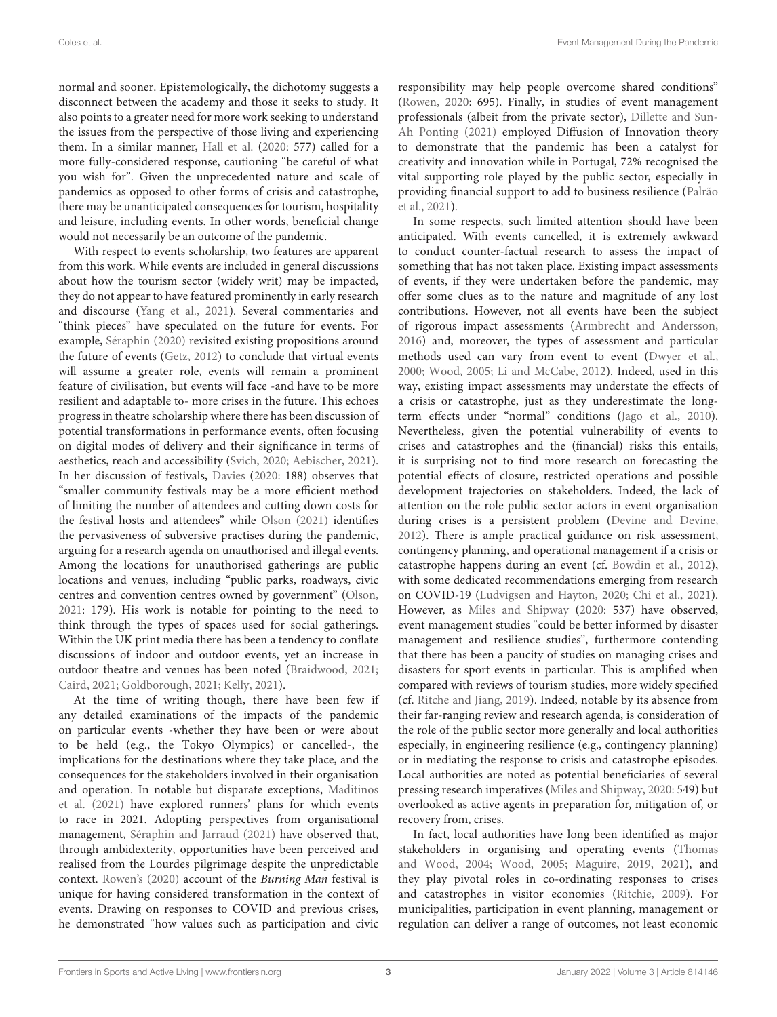normal and sooner. Epistemologically, the dichotomy suggests a disconnect between the academy and those it seeks to study. It also points to a greater need for more work seeking to understand the issues from the perspective of those living and experiencing them. In a similar manner, [Hall et al.](#page-13-10) [\(2020:](#page-13-10) 577) called for a more fully-considered response, cautioning "be careful of what you wish for". Given the unprecedented nature and scale of pandemics as opposed to other forms of crisis and catastrophe, there may be unanticipated consequences for tourism, hospitality and leisure, including events. In other words, beneficial change would not necessarily be an outcome of the pandemic.

With respect to events scholarship, two features are apparent from this work. While events are included in general discussions about how the tourism sector (widely writ) may be impacted, they do not appear to have featured prominently in early research and discourse [\(Yang et al., 2021\)](#page-14-4). Several commentaries and "think pieces" have speculated on the future for events. For example, [Séraphin \(2020\)](#page-14-5) revisited existing propositions around the future of events [\(Getz, 2012\)](#page-13-14) to conclude that virtual events will assume a greater role, events will remain a prominent feature of civilisation, but events will face -and have to be more resilient and adaptable to- more crises in the future. This echoes progress in theatre scholarship where there has been discussion of potential transformations in performance events, often focusing on digital modes of delivery and their significance in terms of aesthetics, reach and accessibility [\(Svich, 2020;](#page-14-6) [Aebischer, 2021\)](#page-12-10). In her discussion of festivals, [Davies](#page-12-5) [\(2020:](#page-12-5) 188) observes that "smaller community festivals may be a more efficient method of limiting the number of attendees and cutting down costs for the festival hosts and attendees" while [Olson \(2021\)](#page-13-15) identifies the pervasiveness of subversive practises during the pandemic, arguing for a research agenda on unauthorised and illegal events. Among the locations for unauthorised gatherings are public locations and venues, including "public parks, roadways, civic centres and convention centres owned by government" [\(Olson,](#page-13-15) [2021:](#page-13-15) 179). His work is notable for pointing to the need to think through the types of spaces used for social gatherings. Within the UK print media there has been a tendency to conflate discussions of indoor and outdoor events, yet an increase in outdoor theatre and venues has been noted [\(Braidwood, 2021;](#page-12-6) [Caird, 2021;](#page-12-11) [Goldborough, 2021;](#page-13-16) [Kelly, 2021\)](#page-13-17).

At the time of writing though, there have been few if any detailed examinations of the impacts of the pandemic on particular events -whether they have been or were about to be held (e.g., the Tokyo Olympics) or cancelled-, the implications for the destinations where they take place, and the consequences for the stakeholders involved in their organisation and operation. In notable but disparate exceptions, Maditinos et al. [\(2021\)](#page-13-18) have explored runners' plans for which events to race in 2021. Adopting perspectives from organisational management, [Séraphin and Jarraud \(2021\)](#page-14-7) have observed that, through ambidexterity, opportunities have been perceived and realised from the Lourdes pilgrimage despite the unpredictable context. [Rowen's \(2020\)](#page-14-2) account of the Burning Man festival is unique for having considered transformation in the context of events. Drawing on responses to COVID and previous crises, he demonstrated "how values such as participation and civic responsibility may help people overcome shared conditions" [\(Rowen, 2020:](#page-14-2) 695). Finally, in studies of event management professionals (albeit from the private sector), Dillette and Sun-Ah Ponting [\(2021\)](#page-13-19) employed Diffusion of Innovation theory to demonstrate that the pandemic has been a catalyst for creativity and innovation while in Portugal, 72% recognised the vital supporting role played by the public sector, especially in providing financial support to add to business resilience (Palrão et al., [2021\)](#page-13-20).

In some respects, such limited attention should have been anticipated. With events cancelled, it is extremely awkward to conduct counter-factual research to assess the impact of something that has not taken place. Existing impact assessments of events, if they were undertaken before the pandemic, may offer some clues as to the nature and magnitude of any lost contributions. However, not all events have been the subject of rigorous impact assessments [\(Armbrecht and Andersson,](#page-12-12) [2016\)](#page-12-12) and, moreover, the types of assessment and particular methods used can vary from event to event [\(Dwyer et al.,](#page-13-21) [2000;](#page-13-21) [Wood, 2005;](#page-14-1) [Li and McCabe, 2012\)](#page-13-22). Indeed, used in this way, existing impact assessments may understate the effects of a crisis or catastrophe, just as they underestimate the longterm effects under "normal" conditions [\(Jago et al., 2010\)](#page-13-23). Nevertheless, given the potential vulnerability of events to crises and catastrophes and the (financial) risks this entails, it is surprising not to find more research on forecasting the potential effects of closure, restricted operations and possible development trajectories on stakeholders. Indeed, the lack of attention on the role public sector actors in event organisation during crises is a persistent problem [\(Devine and Devine,](#page-13-5) [2012\)](#page-13-5). There is ample practical guidance on risk assessment, contingency planning, and operational management if a crisis or catastrophe happens during an event (cf. [Bowdin et al., 2012\)](#page-12-13), with some dedicated recommendations emerging from research on COVID-19 [\(Ludvigsen and Hayton, 2020;](#page-13-24) [Chi et al., 2021\)](#page-12-14). However, as [Miles and Shipway](#page-13-25) [\(2020:](#page-13-25) 537) have observed, event management studies "could be better informed by disaster management and resilience studies", furthermore contending that there has been a paucity of studies on managing crises and disasters for sport events in particular. This is amplified when compared with reviews of tourism studies, more widely specified (cf. [Ritche and Jiang, 2019\)](#page-14-8). Indeed, notable by its absence from their far-ranging review and research agenda, is consideration of the role of the public sector more generally and local authorities especially, in engineering resilience (e.g., contingency planning) or in mediating the response to crisis and catastrophe episodes. Local authorities are noted as potential beneficiaries of several pressing research imperatives [\(Miles and Shipway, 2020:](#page-13-25) 549) but overlooked as active agents in preparation for, mitigation of, or recovery from, crises.

In fact, local authorities have long been identified as major stakeholders in organising and operating events (Thomas and Wood, [2004;](#page-14-0) [Wood, 2005;](#page-14-1) [Maguire, 2019,](#page-13-4) [2021\)](#page-13-7), and they play pivotal roles in co-ordinating responses to crises and catastrophes in visitor economies [\(Ritchie, 2009\)](#page-14-9). For municipalities, participation in event planning, management or regulation can deliver a range of outcomes, not least economic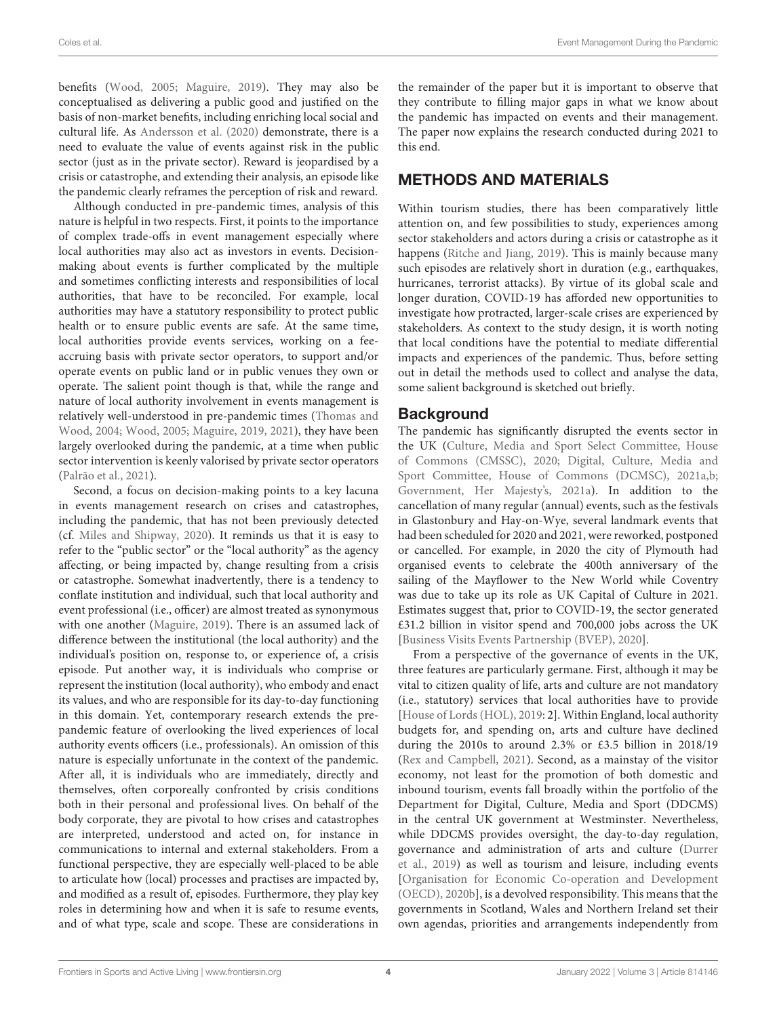benefits [\(Wood, 2005;](#page-14-1) [Maguire, 2019\)](#page-13-4). They may also be conceptualised as delivering a public good and justified on the basis of non-market benefits, including enriching local social and cultural life. As [Andersson et al. \(2020\)](#page-12-15) demonstrate, there is a need to evaluate the value of events against risk in the public sector (just as in the private sector). Reward is jeopardised by a crisis or catastrophe, and extending their analysis, an episode like the pandemic clearly reframes the perception of risk and reward.

Although conducted in pre-pandemic times, analysis of this nature is helpful in two respects. First, it points to the importance of complex trade-offs in event management especially where local authorities may also act as investors in events. Decisionmaking about events is further complicated by the multiple and sometimes conflicting interests and responsibilities of local authorities, that have to be reconciled. For example, local authorities may have a statutory responsibility to protect public health or to ensure public events are safe. At the same time, local authorities provide events services, working on a feeaccruing basis with private sector operators, to support and/or operate events on public land or in public venues they own or operate. The salient point though is that, while the range and nature of local authority involvement in events management is relatively well-understood in pre-pandemic times (Thomas and Wood, [2004;](#page-14-0) [Wood, 2005;](#page-14-1) [Maguire, 2019,](#page-13-4) [2021\)](#page-13-7), they have been largely overlooked during the pandemic, at a time when public sector intervention is keenly valorised by private sector operators [\(Palrão et al., 2021\)](#page-13-20).

Second, a focus on decision-making points to a key lacuna in events management research on crises and catastrophes, including the pandemic, that has not been previously detected (cf. [Miles and Shipway, 2020\)](#page-13-25). It reminds us that it is easy to refer to the "public sector" or the "local authority" as the agency affecting, or being impacted by, change resulting from a crisis or catastrophe. Somewhat inadvertently, there is a tendency to conflate institution and individual, such that local authority and event professional (i.e., officer) are almost treated as synonymous with one another [\(Maguire, 2019\)](#page-13-4). There is an assumed lack of difference between the institutional (the local authority) and the individual's position on, response to, or experience of, a crisis episode. Put another way, it is individuals who comprise or represent the institution (local authority), who embody and enact its values, and who are responsible for its day-to-day functioning in this domain. Yet, contemporary research extends the prepandemic feature of overlooking the lived experiences of local authority events officers (i.e., professionals). An omission of this nature is especially unfortunate in the context of the pandemic. After all, it is individuals who are immediately, directly and themselves, often corporeally confronted by crisis conditions both in their personal and professional lives. On behalf of the body corporate, they are pivotal to how crises and catastrophes are interpreted, understood and acted on, for instance in communications to internal and external stakeholders. From a functional perspective, they are especially well-placed to be able to articulate how (local) processes and practises are impacted by, and modified as a result of, episodes. Furthermore, they play key roles in determining how and when it is safe to resume events, and of what type, scale and scope. These are considerations in the remainder of the paper but it is important to observe that they contribute to filling major gaps in what we know about the pandemic has impacted on events and their management. The paper now explains the research conducted during 2021 to this end.

# METHODS AND MATERIALS

Within tourism studies, there has been comparatively little attention on, and few possibilities to study, experiences among sector stakeholders and actors during a crisis or catastrophe as it happens [\(Ritche and Jiang, 2019\)](#page-14-8). This is mainly because many such episodes are relatively short in duration (e.g., earthquakes, hurricanes, terrorist attacks). By virtue of its global scale and longer duration, COVID-19 has afforded new opportunities to investigate how protracted, larger-scale crises are experienced by stakeholders. As context to the study design, it is worth noting that local conditions have the potential to mediate differential impacts and experiences of the pandemic. Thus, before setting out in detail the methods used to collect and analyse the data, some salient background is sketched out briefly.

# **Background**

The pandemic has significantly disrupted the events sector in the UK (Culture, Media and Sport Select Committee, House of Commons (CMSSC), [2020;](#page-12-2) Digital, Culture, Media and Sport Committee, House of Commons (DCMSC), [2021a](#page-13-1)[,b;](#page-13-3) [Government, Her Majesty's, 2021a\)](#page-13-0). In addition to the cancellation of many regular (annual) events, such as the festivals in Glastonbury and Hay-on-Wye, several landmark events that had been scheduled for 2020 and 2021, were reworked, postponed or cancelled. For example, in 2020 the city of Plymouth had organised events to celebrate the 400th anniversary of the sailing of the Mayflower to the New World while Coventry was due to take up its role as UK Capital of Culture in 2021. Estimates suggest that, prior to COVID-19, the sector generated £31.2 billion in visitor spend and 700,000 jobs across the UK [\[Business Visits Events Partnership \(BVEP\), 2020\]](#page-12-3).

From a perspective of the governance of events in the UK, three features are particularly germane. First, although it may be vital to citizen quality of life, arts and culture are not mandatory (i.e., statutory) services that local authorities have to provide [\[House of Lords \(HOL\), 2019:](#page-13-8) 2]. Within England, local authority budgets for, and spending on, arts and culture have declined during the 2010s to around 2.3% or £3.5 billion in 2018/19 [\(Rex and Campbell, 2021\)](#page-14-10). Second, as a mainstay of the visitor economy, not least for the promotion of both domestic and inbound tourism, events fall broadly within the portfolio of the Department for Digital, Culture, Media and Sport (DDCMS) in the central UK government at Westminster. Nevertheless, while DDCMS provides oversight, the day-to-day regulation, governance and administration of arts and culture (Durrer et al., [2019\)](#page-13-26) as well as tourism and leisure, including events [Organisation for Economic Co-operation and Development (OECD), [2020b\]](#page-13-27), is a devolved responsibility. This means that the governments in Scotland, Wales and Northern Ireland set their own agendas, priorities and arrangements independently from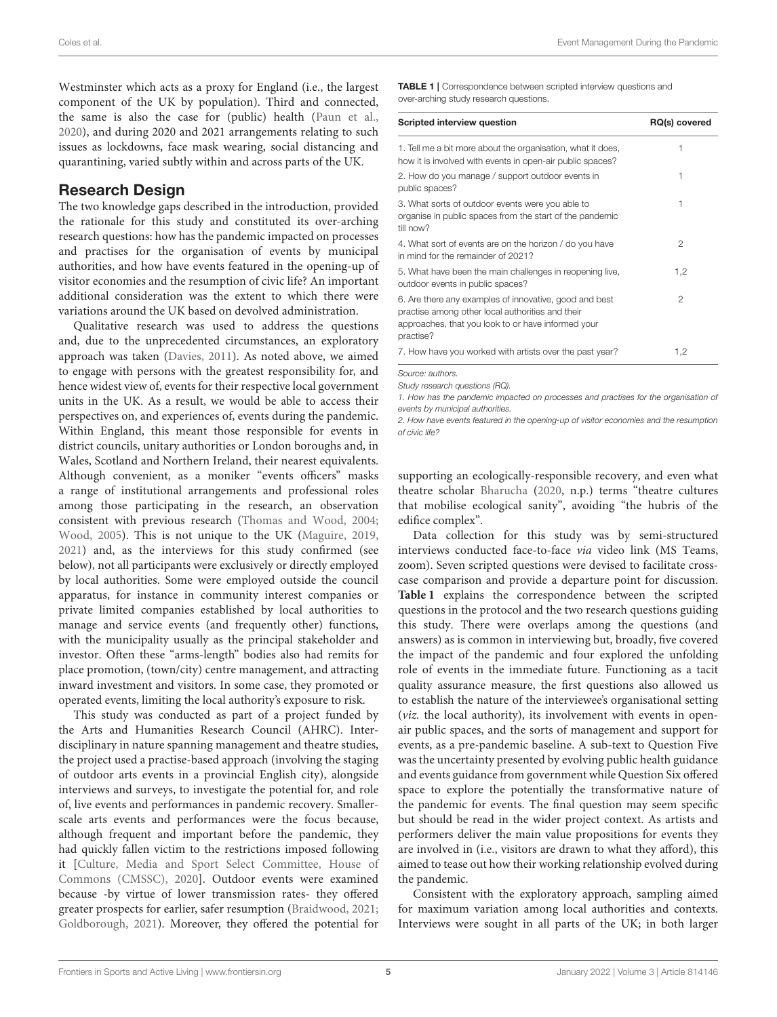Westminster which acts as a proxy for England (i.e., the largest component of the UK by population). Third and connected, the same is also the case for (public) health [\(Paun et al.,](#page-13-28) [2020\)](#page-13-28), and during 2020 and 2021 arrangements relating to such issues as lockdowns, face mask wearing, social distancing and quarantining, varied subtly within and across parts of the UK.

#### Research Design

The two knowledge gaps described in the introduction, provided the rationale for this study and constituted its over-arching research questions: how has the pandemic impacted on processes and practises for the organisation of events by municipal authorities, and how have events featured in the opening-up of visitor economies and the resumption of civic life? An important additional consideration was the extent to which there were variations around the UK based on devolved administration.

Qualitative research was used to address the questions and, due to the unprecedented circumstances, an exploratory approach was taken [\(Davies, 2011\)](#page-12-16). As noted above, we aimed to engage with persons with the greatest responsibility for, and hence widest view of, events for their respective local government units in the UK. As a result, we would be able to access their perspectives on, and experiences of, events during the pandemic. Within England, this meant those responsible for events in district councils, unitary authorities or London boroughs and, in Wales, Scotland and Northern Ireland, their nearest equivalents. Although convenient, as a moniker "events officers" masks a range of institutional arrangements and professional roles among those participating in the research, an observation consistent with previous research [\(Thomas and Wood, 2004;](#page-14-0) [Wood, 2005\)](#page-14-1). This is not unique to the UK [\(Maguire, 2019,](#page-13-4) [2021\)](#page-13-7) and, as the interviews for this study confirmed (see below), not all participants were exclusively or directly employed by local authorities. Some were employed outside the council apparatus, for instance in community interest companies or private limited companies established by local authorities to manage and service events (and frequently other) functions, with the municipality usually as the principal stakeholder and investor. Often these "arms-length" bodies also had remits for place promotion, (town/city) centre management, and attracting inward investment and visitors. In some case, they promoted or operated events, limiting the local authority's exposure to risk.

This study was conducted as part of a project funded by the Arts and Humanities Research Council (AHRC). Interdisciplinary in nature spanning management and theatre studies, the project used a practise-based approach (involving the staging of outdoor arts events in a provincial English city), alongside interviews and surveys, to investigate the potential for, and role of, live events and performances in pandemic recovery. Smallerscale arts events and performances were the focus because, although frequent and important before the pandemic, they had quickly fallen victim to the restrictions imposed following it [Culture, Media and Sport Select Committee, House of Commons (CMSSC), [2020\]](#page-12-2). Outdoor events were examined because -by virtue of lower transmission rates- they offered greater prospects for earlier, safer resumption [\(Braidwood, 2021;](#page-12-6) [Goldborough, 2021\)](#page-13-16). Moreover, they offered the potential for

<span id="page-4-0"></span>TABLE 1 | Correspondence between scripted interview questions and over-arching study research questions.

| Scripted interview question                                                                                                                                                   | RQ(s) covered |
|-------------------------------------------------------------------------------------------------------------------------------------------------------------------------------|---------------|
| 1. Tell me a bit more about the organisation, what it does,<br>how it is involved with events in open-air public spaces?                                                      | 1             |
| 2. How do you manage / support outdoor events in<br>public spaces?                                                                                                            | 1             |
| 3. What sorts of outdoor events were you able to<br>organise in public spaces from the start of the pandemic<br>till now?                                                     | 1             |
| 4. What sort of events are on the horizon / do you have<br>in mind for the remainder of 2021?                                                                                 | 2             |
| 5. What have been the main challenges in reopening live,<br>outdoor events in public spaces?                                                                                  | 1,2           |
| 6. Are there any examples of innovative, good and best<br>practise among other local authorities and their<br>approaches, that you look to or have informed your<br>practise? | 2             |
| 7. How have you worked with artists over the past year?                                                                                                                       | 1,2           |

*Source: authors.*

*Study research questions (RQ).*

*1. How has the pandemic impacted on processes and practises for the organisation of events by municipal authorities.*

*2. How have events featured in the opening-up of visitor economies and the resumption of civic life?*

supporting an ecologically-responsible recovery, and even what theatre scholar [Bharucha](#page-12-17) [\(2020,](#page-12-17) n.p.) terms "theatre cultures that mobilise ecological sanity", avoiding "the hubris of the edifice complex".

Data collection for this study was by semi-structured interviews conducted face-to-face via video link (MS Teams, zoom). Seven scripted questions were devised to facilitate crosscase comparison and provide a departure point for discussion. **[Table 1](#page-4-0)** explains the correspondence between the scripted questions in the protocol and the two research questions guiding this study. There were overlaps among the questions (and answers) as is common in interviewing but, broadly, five covered the impact of the pandemic and four explored the unfolding role of events in the immediate future. Functioning as a tacit quality assurance measure, the first questions also allowed us to establish the nature of the interviewee's organisational setting (viz. the local authority), its involvement with events in openair public spaces, and the sorts of management and support for events, as a pre-pandemic baseline. A sub-text to Question Five was the uncertainty presented by evolving public health guidance and events guidance from government while Question Six offered space to explore the potentially the transformative nature of the pandemic for events. The final question may seem specific but should be read in the wider project context. As artists and performers deliver the main value propositions for events they are involved in (i.e., visitors are drawn to what they afford), this aimed to tease out how their working relationship evolved during the pandemic.

Consistent with the exploratory approach, sampling aimed for maximum variation among local authorities and contexts. Interviews were sought in all parts of the UK; in both larger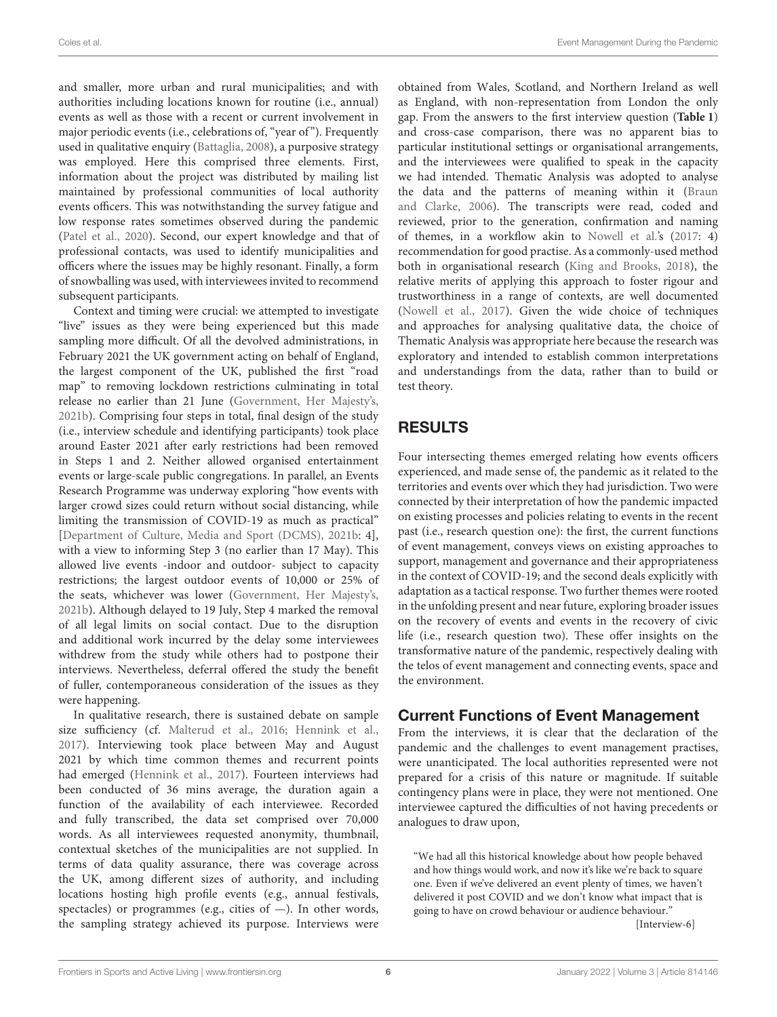and smaller, more urban and rural municipalities; and with authorities including locations known for routine (i.e., annual) events as well as those with a recent or current involvement in major periodic events (i.e., celebrations of, "year of "). Frequently used in qualitative enquiry [\(Battaglia, 2008\)](#page-12-18), a purposive strategy was employed. Here this comprised three elements. First, information about the project was distributed by mailing list maintained by professional communities of local authority events officers. This was notwithstanding the survey fatigue and low response rates sometimes observed during the pandemic [\(Patel et al., 2020\)](#page-13-29). Second, our expert knowledge and that of professional contacts, was used to identify municipalities and officers where the issues may be highly resonant. Finally, a form of snowballing was used, with interviewees invited to recommend subsequent participants.

Context and timing were crucial: we attempted to investigate "live" issues as they were being experienced but this made sampling more difficult. Of all the devolved administrations, in February 2021 the UK government acting on behalf of England, the largest component of the UK, published the first "road map" to removing lockdown restrictions culminating in total release no earlier than 21 June [\(Government, Her Majesty's,](#page-13-30) [2021b\)](#page-13-30). Comprising four steps in total, final design of the study (i.e., interview schedule and identifying participants) took place around Easter 2021 after early restrictions had been removed in Steps 1 and 2. Neither allowed organised entertainment events or large-scale public congregations. In parallel, an Events Research Programme was underway exploring "how events with larger crowd sizes could return without social distancing, while limiting the transmission of COVID-19 as much as practical" [\[Department of Culture, Media and Sport \(DCMS\), 2021b:](#page-13-31) 4], with a view to informing Step 3 (no earlier than 17 May). This allowed live events -indoor and outdoor- subject to capacity restrictions; the largest outdoor events of 10,000 or 25% of the seats, whichever was lower [\(Government, Her Majesty's,](#page-13-30) [2021b\)](#page-13-30). Although delayed to 19 July, Step 4 marked the removal of all legal limits on social contact. Due to the disruption and additional work incurred by the delay some interviewees withdrew from the study while others had to postpone their interviews. Nevertheless, deferral offered the study the benefit of fuller, contemporaneous consideration of the issues as they were happening.

In qualitative research, there is sustained debate on sample size sufficiency (cf. [Malterud et al., 2016;](#page-13-32) [Hennink et al.,](#page-13-33) [2017\)](#page-13-33). Interviewing took place between May and August 2021 by which time common themes and recurrent points had emerged [\(Hennink et al., 2017\)](#page-13-33). Fourteen interviews had been conducted of 36 mins average, the duration again a function of the availability of each interviewee. Recorded and fully transcribed, the data set comprised over 70,000 words. As all interviewees requested anonymity, thumbnail, contextual sketches of the municipalities are not supplied. In terms of data quality assurance, there was coverage across the UK, among different sizes of authority, and including locations hosting high profile events (e.g., annual festivals, spectacles) or programmes (e.g., cities of —). In other words, the sampling strategy achieved its purpose. Interviews were obtained from Wales, Scotland, and Northern Ireland as well as England, with non-representation from London the only gap. From the answers to the first interview question (**[Table 1](#page-4-0)**) and cross-case comparison, there was no apparent bias to particular institutional settings or organisational arrangements, and the interviewees were qualified to speak in the capacity we had intended. Thematic Analysis was adopted to analyse the data and the patterns of meaning within it (Braun and Clarke, [2006\)](#page-12-19). The transcripts were read, coded and reviewed, prior to the generation, confirmation and naming of themes, in a workflow akin to [Nowell et al.'](#page-13-34)s [\(2017:](#page-13-34) 4) recommendation for good practise. As a commonly-used method both in organisational research [\(King and Brooks, 2018\)](#page-13-35), the relative merits of applying this approach to foster rigour and trustworthiness in a range of contexts, are well documented [\(Nowell et al., 2017\)](#page-13-34). Given the wide choice of techniques and approaches for analysing qualitative data, the choice of Thematic Analysis was appropriate here because the research was exploratory and intended to establish common interpretations and understandings from the data, rather than to build or test theory.

# RESULTS

Four intersecting themes emerged relating how events officers experienced, and made sense of, the pandemic as it related to the territories and events over which they had jurisdiction. Two were connected by their interpretation of how the pandemic impacted on existing processes and policies relating to events in the recent past (i.e., research question one): the first, the current functions of event management, conveys views on existing approaches to support, management and governance and their appropriateness in the context of COVID-19; and the second deals explicitly with adaptation as a tactical response. Two further themes were rooted in the unfolding present and near future, exploring broader issues on the recovery of events and events in the recovery of civic life (i.e., research question two). These offer insights on the transformative nature of the pandemic, respectively dealing with the telos of event management and connecting events, space and the environment.

## Current Functions of Event Management

From the interviews, it is clear that the declaration of the pandemic and the challenges to event management practises, were unanticipated. The local authorities represented were not prepared for a crisis of this nature or magnitude. If suitable contingency plans were in place, they were not mentioned. One interviewee captured the difficulties of not having precedents or analogues to draw upon,

"We had all this historical knowledge about how people behaved and how things would work, and now it's like we're back to square one. Even if we've delivered an event plenty of times, we haven't delivered it post COVID and we don't know what impact that is going to have on crowd behaviour or audience behaviour."

[Interview-6]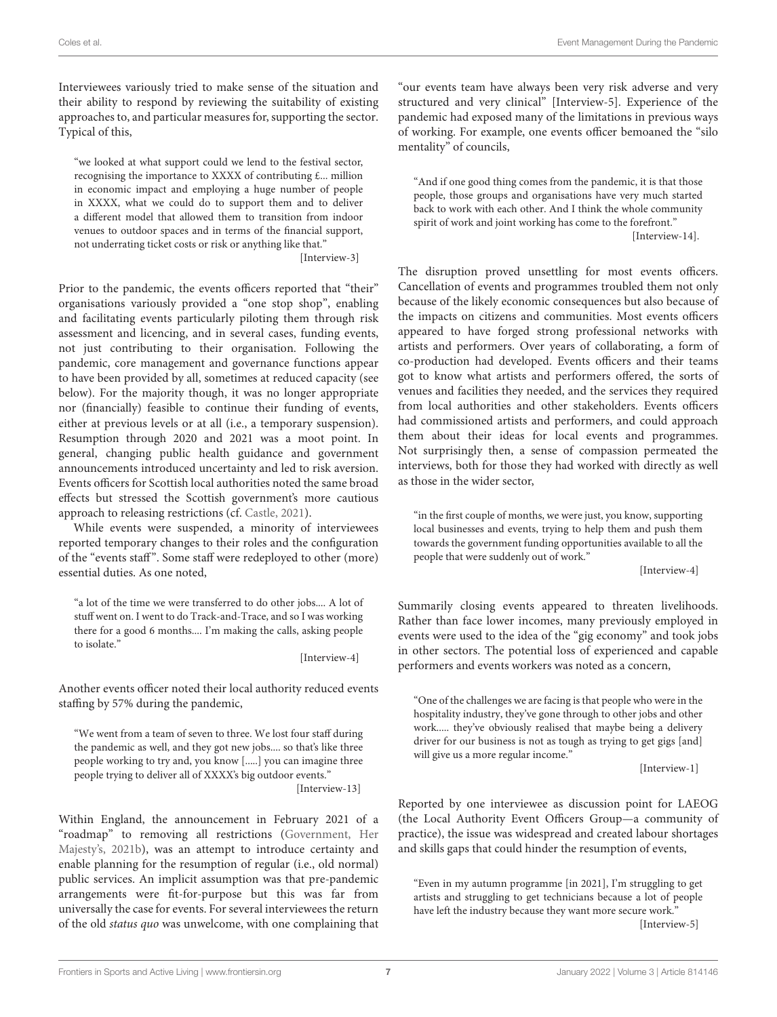Interviewees variously tried to make sense of the situation and their ability to respond by reviewing the suitability of existing approaches to, and particular measures for, supporting the sector. Typical of this,

"we looked at what support could we lend to the festival sector, recognising the importance to XXXX of contributing £... million in economic impact and employing a huge number of people in XXXX, what we could do to support them and to deliver a different model that allowed them to transition from indoor venues to outdoor spaces and in terms of the financial support, not underrating ticket costs or risk or anything like that."

[Interview-3]

Prior to the pandemic, the events officers reported that "their" organisations variously provided a "one stop shop", enabling and facilitating events particularly piloting them through risk assessment and licencing, and in several cases, funding events, not just contributing to their organisation. Following the pandemic, core management and governance functions appear to have been provided by all, sometimes at reduced capacity (see below). For the majority though, it was no longer appropriate nor (financially) feasible to continue their funding of events, either at previous levels or at all (i.e., a temporary suspension). Resumption through 2020 and 2021 was a moot point. In general, changing public health guidance and government announcements introduced uncertainty and led to risk aversion. Events officers for Scottish local authorities noted the same broad effects but stressed the Scottish government's more cautious approach to releasing restrictions (cf. [Castle, 2021\)](#page-12-20).

While events were suspended, a minority of interviewees reported temporary changes to their roles and the configuration of the "events staff ". Some staff were redeployed to other (more) essential duties. As one noted,

"a lot of the time we were transferred to do other jobs.... A lot of stuff went on. I went to do Track-and-Trace, and so I was working there for a good 6 months.... I'm making the calls, asking people to isolate."

[Interview-4]

Another events officer noted their local authority reduced events staffing by 57% during the pandemic,

"We went from a team of seven to three. We lost four staff during the pandemic as well, and they got new jobs.... so that's like three people working to try and, you know [.....] you can imagine three people trying to deliver all of XXXX's big outdoor events." [Interview-13]

Within England, the announcement in February 2021 of a "roadmap" to removing all restrictions (Government, Her Majesty's, [2021b\)](#page-13-30), was an attempt to introduce certainty and enable planning for the resumption of regular (i.e., old normal) public services. An implicit assumption was that pre-pandemic arrangements were fit-for-purpose but this was far from universally the case for events. For several interviewees the return of the old status quo was unwelcome, with one complaining that "our events team have always been very risk adverse and very structured and very clinical" [Interview-5]. Experience of the pandemic had exposed many of the limitations in previous ways of working. For example, one events officer bemoaned the "silo mentality" of councils,

"And if one good thing comes from the pandemic, it is that those people, those groups and organisations have very much started back to work with each other. And I think the whole community spirit of work and joint working has come to the forefront." [Interview-14].

The disruption proved unsettling for most events officers. Cancellation of events and programmes troubled them not only because of the likely economic consequences but also because of the impacts on citizens and communities. Most events officers appeared to have forged strong professional networks with artists and performers. Over years of collaborating, a form of co-production had developed. Events officers and their teams got to know what artists and performers offered, the sorts of venues and facilities they needed, and the services they required from local authorities and other stakeholders. Events officers had commissioned artists and performers, and could approach them about their ideas for local events and programmes. Not surprisingly then, a sense of compassion permeated the interviews, both for those they had worked with directly as well as those in the wider sector,

"in the first couple of months, we were just, you know, supporting local businesses and events, trying to help them and push them towards the government funding opportunities available to all the people that were suddenly out of work."

[Interview-4]

Summarily closing events appeared to threaten livelihoods. Rather than face lower incomes, many previously employed in events were used to the idea of the "gig economy" and took jobs in other sectors. The potential loss of experienced and capable performers and events workers was noted as a concern,

"One of the challenges we are facing is that people who were in the hospitality industry, they've gone through to other jobs and other work..... they've obviously realised that maybe being a delivery driver for our business is not as tough as trying to get gigs [and] will give us a more regular income."

[Interview-1]

Reported by one interviewee as discussion point for LAEOG (the Local Authority Event Officers Group—a community of practice), the issue was widespread and created labour shortages and skills gaps that could hinder the resumption of events,

"Even in my autumn programme [in 2021], I'm struggling to get artists and struggling to get technicians because a lot of people have left the industry because they want more secure work."

[Interview-5]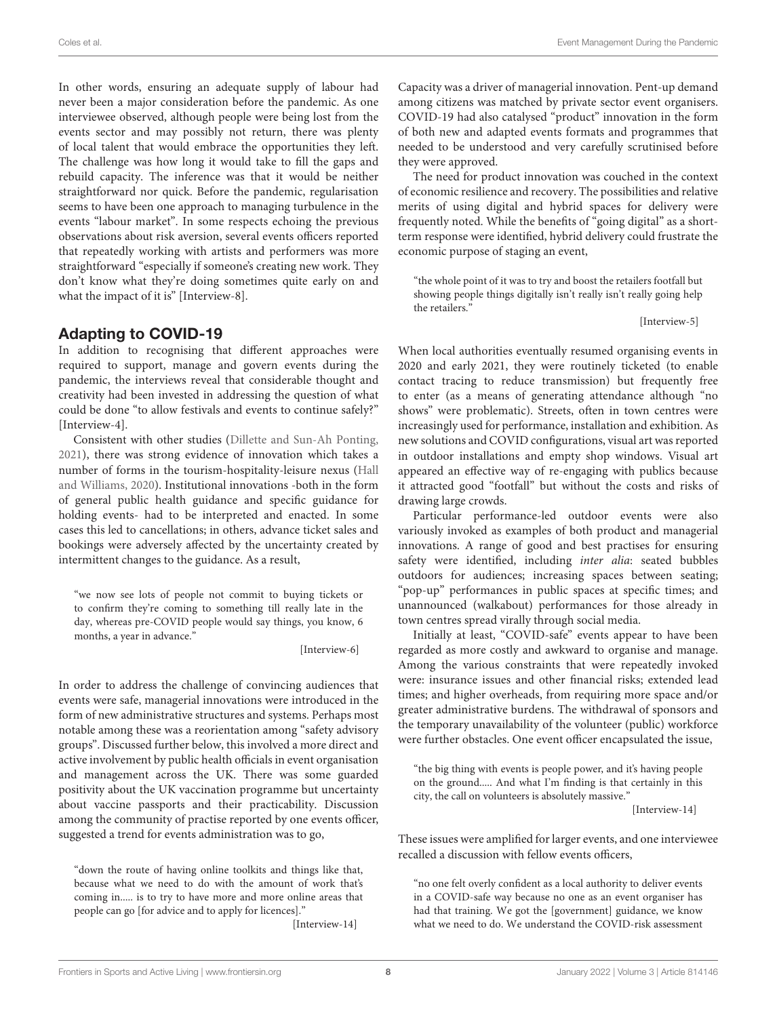In other words, ensuring an adequate supply of labour had never been a major consideration before the pandemic. As one interviewee observed, although people were being lost from the events sector and may possibly not return, there was plenty of local talent that would embrace the opportunities they left. The challenge was how long it would take to fill the gaps and rebuild capacity. The inference was that it would be neither straightforward nor quick. Before the pandemic, regularisation seems to have been one approach to managing turbulence in the events "labour market". In some respects echoing the previous observations about risk aversion, several events officers reported that repeatedly working with artists and performers was more straightforward "especially if someone's creating new work. They don't know what they're doing sometimes quite early on and what the impact of it is" [Interview-8].

## Adapting to COVID-19

In addition to recognising that different approaches were required to support, manage and govern events during the pandemic, the interviews reveal that considerable thought and creativity had been invested in addressing the question of what could be done "to allow festivals and events to continue safely?" [Interview-4].

Consistent with other studies [\(Dillette and Sun-Ah Ponting,](#page-13-19) [2021\)](#page-13-19), there was strong evidence of innovation which takes a number of forms in the tourism-hospitality-leisure nexus (Hall and Williams, [2020\)](#page-13-36). Institutional innovations -both in the form of general public health guidance and specific guidance for holding events- had to be interpreted and enacted. In some cases this led to cancellations; in others, advance ticket sales and bookings were adversely affected by the uncertainty created by intermittent changes to the guidance. As a result,

"we now see lots of people not commit to buying tickets or to confirm they're coming to something till really late in the day, whereas pre-COVID people would say things, you know, 6 months, a year in advance."

[Interview-6]

In order to address the challenge of convincing audiences that events were safe, managerial innovations were introduced in the form of new administrative structures and systems. Perhaps most notable among these was a reorientation among "safety advisory groups". Discussed further below, this involved a more direct and active involvement by public health officials in event organisation and management across the UK. There was some guarded positivity about the UK vaccination programme but uncertainty about vaccine passports and their practicability. Discussion among the community of practise reported by one events officer, suggested a trend for events administration was to go,

"down the route of having online toolkits and things like that, because what we need to do with the amount of work that's coming in..... is to try to have more and more online areas that people can go [for advice and to apply for licences]."

[Interview-14]

Capacity was a driver of managerial innovation. Pent-up demand among citizens was matched by private sector event organisers. COVID-19 had also catalysed "product" innovation in the form of both new and adapted events formats and programmes that needed to be understood and very carefully scrutinised before they were approved.

The need for product innovation was couched in the context of economic resilience and recovery. The possibilities and relative merits of using digital and hybrid spaces for delivery were frequently noted. While the benefits of "going digital" as a shortterm response were identified, hybrid delivery could frustrate the economic purpose of staging an event,

"the whole point of it was to try and boost the retailers footfall but showing people things digitally isn't really isn't really going help the retailers."

[Interview-5]

When local authorities eventually resumed organising events in 2020 and early 2021, they were routinely ticketed (to enable contact tracing to reduce transmission) but frequently free to enter (as a means of generating attendance although "no shows" were problematic). Streets, often in town centres were increasingly used for performance, installation and exhibition. As new solutions and COVID configurations, visual art was reported in outdoor installations and empty shop windows. Visual art appeared an effective way of re-engaging with publics because it attracted good "footfall" but without the costs and risks of drawing large crowds.

Particular performance-led outdoor events were also variously invoked as examples of both product and managerial innovations. A range of good and best practises for ensuring safety were identified, including inter alia: seated bubbles outdoors for audiences; increasing spaces between seating; "pop-up" performances in public spaces at specific times; and unannounced (walkabout) performances for those already in town centres spread virally through social media.

Initially at least, "COVID-safe" events appear to have been regarded as more costly and awkward to organise and manage. Among the various constraints that were repeatedly invoked were: insurance issues and other financial risks; extended lead times; and higher overheads, from requiring more space and/or greater administrative burdens. The withdrawal of sponsors and the temporary unavailability of the volunteer (public) workforce were further obstacles. One event officer encapsulated the issue,

"the big thing with events is people power, and it's having people on the ground..... And what I'm finding is that certainly in this city, the call on volunteers is absolutely massive."

[Interview-14]

These issues were amplified for larger events, and one interviewee recalled a discussion with fellow events officers,

"no one felt overly confident as a local authority to deliver events in a COVID-safe way because no one as an event organiser has had that training. We got the [government] guidance, we know what we need to do. We understand the COVID-risk assessment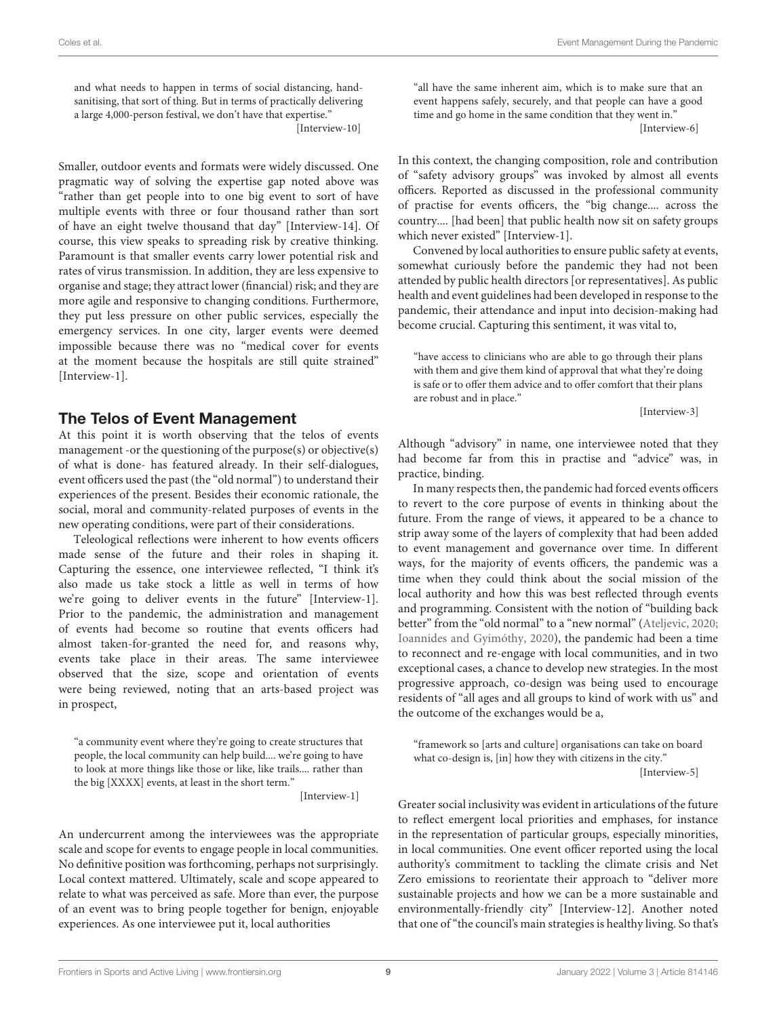and what needs to happen in terms of social distancing, handsanitising, that sort of thing. But in terms of practically delivering a large 4,000-person festival, we don't have that expertise." [Interview-10]

Smaller, outdoor events and formats were widely discussed. One pragmatic way of solving the expertise gap noted above was "rather than get people into to one big event to sort of have multiple events with three or four thousand rather than sort of have an eight twelve thousand that day" [Interview-14]. Of course, this view speaks to spreading risk by creative thinking. Paramount is that smaller events carry lower potential risk and rates of virus transmission. In addition, they are less expensive to organise and stage; they attract lower (financial) risk; and they are more agile and responsive to changing conditions. Furthermore, they put less pressure on other public services, especially the emergency services. In one city, larger events were deemed impossible because there was no "medical cover for events at the moment because the hospitals are still quite strained" [Interview-1].

## The Telos of Event Management

At this point it is worth observing that the telos of events management -or the questioning of the purpose(s) or objective(s) of what is done- has featured already. In their self-dialogues, event officers used the past (the "old normal") to understand their experiences of the present. Besides their economic rationale, the social, moral and community-related purposes of events in the new operating conditions, were part of their considerations.

Teleological reflections were inherent to how events officers made sense of the future and their roles in shaping it. Capturing the essence, one interviewee reflected, "I think it's also made us take stock a little as well in terms of how we're going to deliver events in the future" [Interview-1]. Prior to the pandemic, the administration and management of events had become so routine that events officers had almost taken-for-granted the need for, and reasons why, events take place in their areas. The same interviewee observed that the size, scope and orientation of events were being reviewed, noting that an arts-based project was in prospect,

"a community event where they're going to create structures that people, the local community can help build.... we're going to have to look at more things like those or like, like trails.... rather than the big [XXXX] events, at least in the short term."

[Interview-1]

An undercurrent among the interviewees was the appropriate scale and scope for events to engage people in local communities. No definitive position was forthcoming, perhaps not surprisingly. Local context mattered. Ultimately, scale and scope appeared to relate to what was perceived as safe. More than ever, the purpose of an event was to bring people together for benign, enjoyable experiences. As one interviewee put it, local authorities

"all have the same inherent aim, which is to make sure that an event happens safely, securely, and that people can have a good time and go home in the same condition that they went in." [Interview-6]

In this context, the changing composition, role and contribution of "safety advisory groups" was invoked by almost all events officers. Reported as discussed in the professional community of practise for events officers, the "big change.... across the country.... [had been] that public health now sit on safety groups which never existed" [Interview-1].

Convened by local authorities to ensure public safety at events, somewhat curiously before the pandemic they had not been attended by public health directors [or representatives]. As public health and event guidelines had been developed in response to the pandemic, their attendance and input into decision-making had become crucial. Capturing this sentiment, it was vital to,

"have access to clinicians who are able to go through their plans with them and give them kind of approval that what they're doing is safe or to offer them advice and to offer comfort that their plans are robust and in place."

[Interview-3]

Although "advisory" in name, one interviewee noted that they had become far from this in practise and "advice" was, in practice, binding.

In many respects then, the pandemic had forced events officers to revert to the core purpose of events in thinking about the future. From the range of views, it appeared to be a chance to strip away some of the layers of complexity that had been added to event management and governance over time. In different ways, for the majority of events officers, the pandemic was a time when they could think about the social mission of the local authority and how this was best reflected through events and programming. Consistent with the notion of "building back better" from the "old normal" to a "new normal" [\(Ateljevic, 2020;](#page-12-8) [Ioannides and Gyimóthy, 2020\)](#page-13-12), the pandemic had been a time to reconnect and re-engage with local communities, and in two exceptional cases, a chance to develop new strategies. In the most progressive approach, co-design was being used to encourage residents of "all ages and all groups to kind of work with us" and the outcome of the exchanges would be a,

"framework so [arts and culture] organisations can take on board what co-design is, [in] how they with citizens in the city." [Interview-5]

Greater social inclusivity was evident in articulations of the future to reflect emergent local priorities and emphases, for instance in the representation of particular groups, especially minorities, in local communities. One event officer reported using the local authority's commitment to tackling the climate crisis and Net Zero emissions to reorientate their approach to "deliver more sustainable projects and how we can be a more sustainable and environmentally-friendly city" [Interview-12]. Another noted that one of "the council's main strategies is healthy living. So that's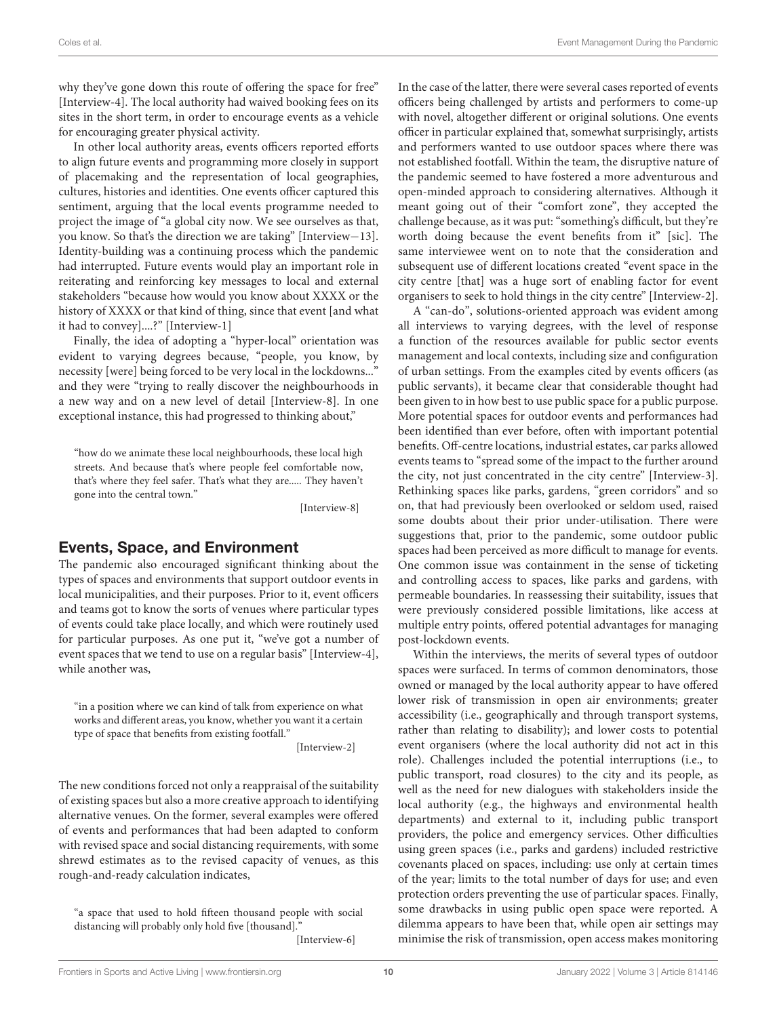why they've gone down this route of offering the space for free" [Interview-4]. The local authority had waived booking fees on its sites in the short term, in order to encourage events as a vehicle for encouraging greater physical activity.

In other local authority areas, events officers reported efforts to align future events and programming more closely in support of placemaking and the representation of local geographies, cultures, histories and identities. One events officer captured this sentiment, arguing that the local events programme needed to project the image of "a global city now. We see ourselves as that, you know. So that's the direction we are taking" [Interview−13]. Identity-building was a continuing process which the pandemic had interrupted. Future events would play an important role in reiterating and reinforcing key messages to local and external stakeholders "because how would you know about XXXX or the history of XXXX or that kind of thing, since that event [and what it had to convey]....?" [Interview-1]

Finally, the idea of adopting a "hyper-local" orientation was evident to varying degrees because, "people, you know, by necessity [were] being forced to be very local in the lockdowns..." and they were "trying to really discover the neighbourhoods in a new way and on a new level of detail [Interview-8]. In one exceptional instance, this had progressed to thinking about,"

"how do we animate these local neighbourhoods, these local high streets. And because that's where people feel comfortable now, that's where they feel safer. That's what they are..... They haven't gone into the central town."

[Interview-8]

## Events, Space, and Environment

The pandemic also encouraged significant thinking about the types of spaces and environments that support outdoor events in local municipalities, and their purposes. Prior to it, event officers and teams got to know the sorts of venues where particular types of events could take place locally, and which were routinely used for particular purposes. As one put it, "we've got a number of event spaces that we tend to use on a regular basis" [Interview-4], while another was,

"in a position where we can kind of talk from experience on what works and different areas, you know, whether you want it a certain type of space that benefits from existing footfall."

[Interview-2]

The new conditions forced not only a reappraisal of the suitability of existing spaces but also a more creative approach to identifying alternative venues. On the former, several examples were offered of events and performances that had been adapted to conform with revised space and social distancing requirements, with some shrewd estimates as to the revised capacity of venues, as this rough-and-ready calculation indicates,

"a space that used to hold fifteen thousand people with social distancing will probably only hold five [thousand]."

[Interview-6]

In the case of the latter, there were several cases reported of events officers being challenged by artists and performers to come-up with novel, altogether different or original solutions. One events officer in particular explained that, somewhat surprisingly, artists and performers wanted to use outdoor spaces where there was not established footfall. Within the team, the disruptive nature of the pandemic seemed to have fostered a more adventurous and open-minded approach to considering alternatives. Although it meant going out of their "comfort zone", they accepted the challenge because, as it was put: "something's difficult, but they're worth doing because the event benefits from it" [sic]. The same interviewee went on to note that the consideration and subsequent use of different locations created "event space in the city centre [that] was a huge sort of enabling factor for event organisers to seek to hold things in the city centre" [Interview-2].

A "can-do", solutions-oriented approach was evident among all interviews to varying degrees, with the level of response a function of the resources available for public sector events management and local contexts, including size and configuration of urban settings. From the examples cited by events officers (as public servants), it became clear that considerable thought had been given to in how best to use public space for a public purpose. More potential spaces for outdoor events and performances had been identified than ever before, often with important potential benefits. Off-centre locations, industrial estates, car parks allowed events teams to "spread some of the impact to the further around the city, not just concentrated in the city centre" [Interview-3]. Rethinking spaces like parks, gardens, "green corridors" and so on, that had previously been overlooked or seldom used, raised some doubts about their prior under-utilisation. There were suggestions that, prior to the pandemic, some outdoor public spaces had been perceived as more difficult to manage for events. One common issue was containment in the sense of ticketing and controlling access to spaces, like parks and gardens, with permeable boundaries. In reassessing their suitability, issues that were previously considered possible limitations, like access at multiple entry points, offered potential advantages for managing post-lockdown events.

Within the interviews, the merits of several types of outdoor spaces were surfaced. In terms of common denominators, those owned or managed by the local authority appear to have offered lower risk of transmission in open air environments; greater accessibility (i.e., geographically and through transport systems, rather than relating to disability); and lower costs to potential event organisers (where the local authority did not act in this role). Challenges included the potential interruptions (i.e., to public transport, road closures) to the city and its people, as well as the need for new dialogues with stakeholders inside the local authority (e.g., the highways and environmental health departments) and external to it, including public transport providers, the police and emergency services. Other difficulties using green spaces (i.e., parks and gardens) included restrictive covenants placed on spaces, including: use only at certain times of the year; limits to the total number of days for use; and even protection orders preventing the use of particular spaces. Finally, some drawbacks in using public open space were reported. A dilemma appears to have been that, while open air settings may minimise the risk of transmission, open access makes monitoring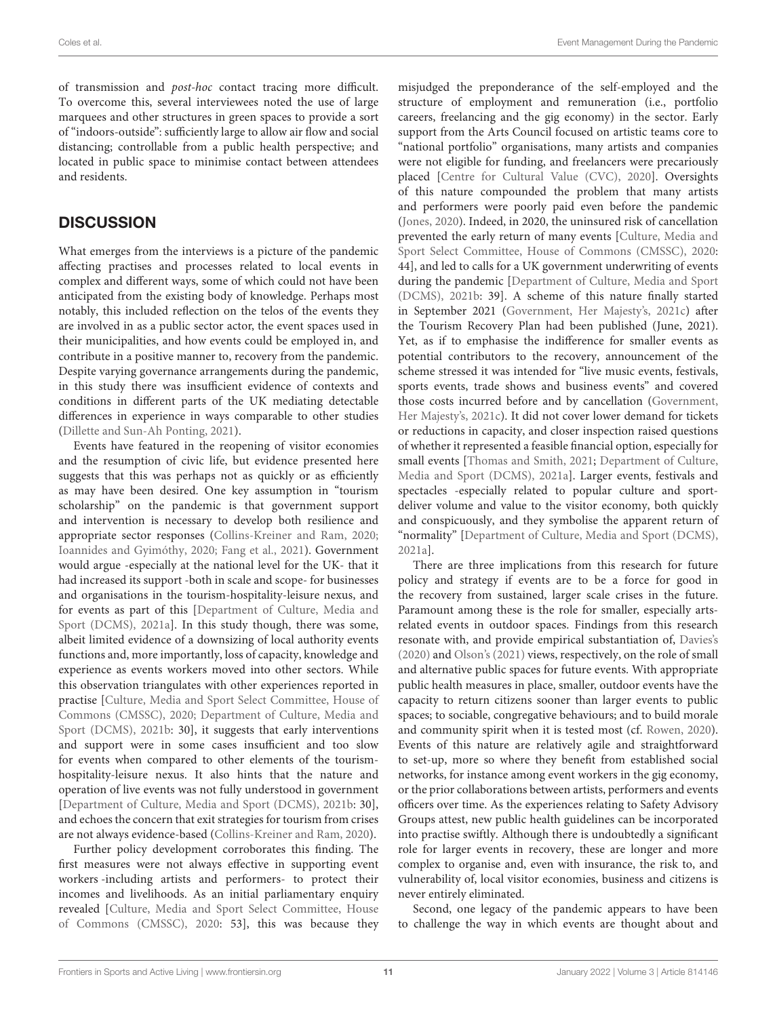of transmission and post-hoc contact tracing more difficult. To overcome this, several interviewees noted the use of large marquees and other structures in green spaces to provide a sort of "indoors-outside": sufficiently large to allow air flow and social distancing; controllable from a public health perspective; and located in public space to minimise contact between attendees and residents.

## **DISCUSSION**

What emerges from the interviews is a picture of the pandemic affecting practises and processes related to local events in complex and different ways, some of which could not have been anticipated from the existing body of knowledge. Perhaps most notably, this included reflection on the telos of the events they are involved in as a public sector actor, the event spaces used in their municipalities, and how events could be employed in, and contribute in a positive manner to, recovery from the pandemic. Despite varying governance arrangements during the pandemic, in this study there was insufficient evidence of contexts and conditions in different parts of the UK mediating detectable differences in experience in ways comparable to other studies [\(Dillette and Sun-Ah Ponting, 2021\)](#page-13-19).

Events have featured in the reopening of visitor economies and the resumption of civic life, but evidence presented here suggests that this was perhaps not as quickly or as efficiently as may have been desired. One key assumption in "tourism scholarship" on the pandemic is that government support and intervention is necessary to develop both resilience and appropriate sector responses [\(Collins-Kreiner and Ram, 2020;](#page-12-21) [Ioannides and Gyimóthy, 2020;](#page-13-12) [Fang et al., 2021\)](#page-13-37). Government would argue -especially at the national level for the UK- that it had increased its support -both in scale and scope- for businesses and organisations in the tourism-hospitality-leisure nexus, and for events as part of this [Department of Culture, Media and Sport (DCMS), [2021a\]](#page-12-4). In this study though, there was some, albeit limited evidence of a downsizing of local authority events functions and, more importantly, loss of capacity, knowledge and experience as events workers moved into other sectors. While this observation triangulates with other experiences reported in practise [Culture, Media and Sport Select Committee, House of Commons (CMSSC), [2020;](#page-12-2) Department of Culture, Media and Sport (DCMS), [2021b:](#page-13-31) 30], it suggests that early interventions and support were in some cases insufficient and too slow for events when compared to other elements of the tourismhospitality-leisure nexus. It also hints that the nature and operation of live events was not fully understood in government [\[Department of Culture, Media and Sport \(DCMS\), 2021b:](#page-13-31) 30], and echoes the concern that exit strategies for tourism from crises are not always evidence-based [\(Collins-Kreiner and Ram, 2020\)](#page-12-21).

Further policy development corroborates this finding. The first measures were not always effective in supporting event workers -including artists and performers- to protect their incomes and livelihoods. As an initial parliamentary enquiry revealed [Culture, Media and Sport Select Committee, House of Commons (CMSSC), [2020:](#page-12-2) 53], this was because they misjudged the preponderance of the self-employed and the structure of employment and remuneration (i.e., portfolio careers, freelancing and the gig economy) in the sector. Early support from the Arts Council focused on artistic teams core to "national portfolio" organisations, many artists and companies were not eligible for funding, and freelancers were precariously placed [\[Centre for Cultural Value \(CVC\), 2020\]](#page-12-22). Oversights of this nature compounded the problem that many artists and performers were poorly paid even before the pandemic [\(Jones, 2020\)](#page-13-38). Indeed, in 2020, the uninsured risk of cancellation prevented the early return of many events [Culture, Media and Sport Select Committee, House of Commons (CMSSC), [2020:](#page-12-2) 44], and led to calls for a UK government underwriting of events during the pandemic [Department of Culture, Media and Sport (DCMS), [2021b:](#page-13-31) 39]. A scheme of this nature finally started in September 2021 [\(Government, Her Majesty's, 2021c\)](#page-13-39) after the Tourism Recovery Plan had been published (June, 2021). Yet, as if to emphasise the indifference for smaller events as potential contributors to the recovery, announcement of the scheme stressed it was intended for "live music events, festivals, sports events, trade shows and business events" and covered those costs incurred before and by cancellation (Government, Her Majesty's, [2021c\)](#page-13-39). It did not cover lower demand for tickets or reductions in capacity, and closer inspection raised questions of whether it represented a feasible financial option, especially for small events [\[Thomas and Smith, 2021;](#page-14-11) Department of Culture, Media and Sport (DCMS), [2021a\]](#page-12-4). Larger events, festivals and spectacles -especially related to popular culture and sportdeliver volume and value to the visitor economy, both quickly and conspicuously, and they symbolise the apparent return of "normality" [\[Department of Culture, Media and Sport \(DCMS\),](#page-12-4) [2021a\]](#page-12-4).

There are three implications from this research for future policy and strategy if events are to be a force for good in the recovery from sustained, larger scale crises in the future. Paramount among these is the role for smaller, especially artsrelated events in outdoor spaces. Findings from this research resonate with, and provide empirical substantiation of, [Davies's](#page-12-5) [\(2020\)](#page-12-5) and [Olson's \(2021\)](#page-13-15) views, respectively, on the role of small and alternative public spaces for future events. With appropriate public health measures in place, smaller, outdoor events have the capacity to return citizens sooner than larger events to public spaces; to sociable, congregative behaviours; and to build morale and community spirit when it is tested most (cf. [Rowen, 2020\)](#page-14-2). Events of this nature are relatively agile and straightforward to set-up, more so where they benefit from established social networks, for instance among event workers in the gig economy, or the prior collaborations between artists, performers and events officers over time. As the experiences relating to Safety Advisory Groups attest, new public health guidelines can be incorporated into practise swiftly. Although there is undoubtedly a significant role for larger events in recovery, these are longer and more complex to organise and, even with insurance, the risk to, and vulnerability of, local visitor economies, business and citizens is never entirely eliminated.

Second, one legacy of the pandemic appears to have been to challenge the way in which events are thought about and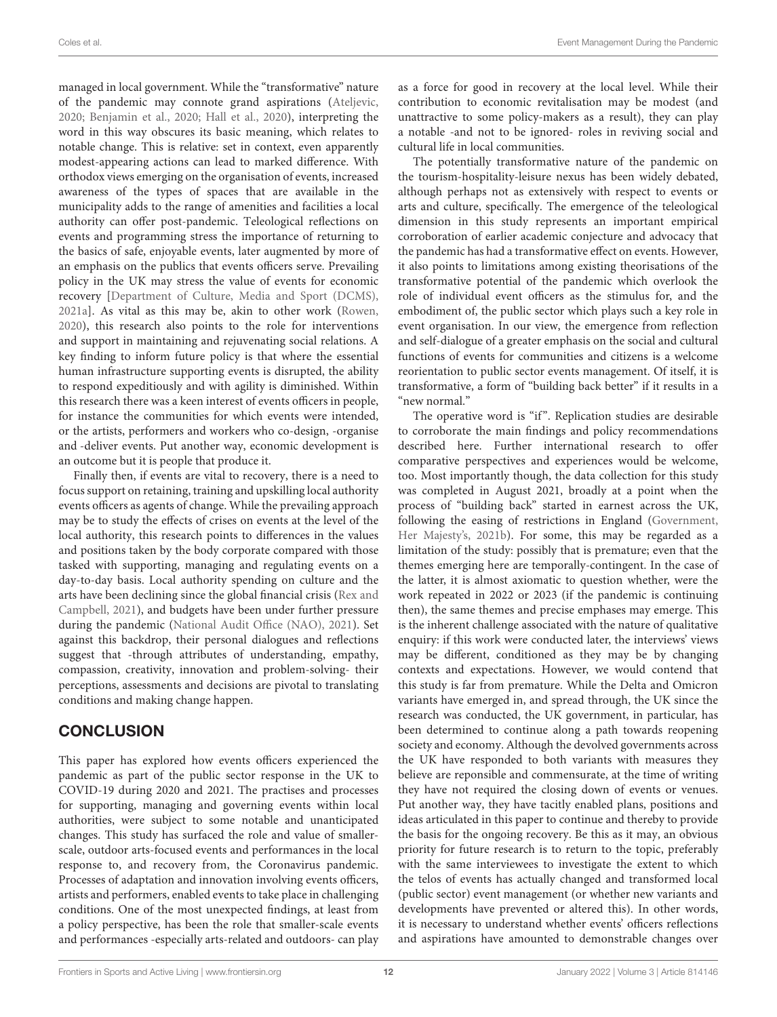managed in local government. While the "transformative" nature of the pandemic may connote grand aspirations [\(Ateljevic,](#page-12-8) [2020;](#page-12-8) [Benjamin et al., 2020;](#page-12-9) [Hall et al., 2020\)](#page-13-10), interpreting the word in this way obscures its basic meaning, which relates to notable change. This is relative: set in context, even apparently modest-appearing actions can lead to marked difference. With orthodox views emerging on the organisation of events, increased awareness of the types of spaces that are available in the municipality adds to the range of amenities and facilities a local authority can offer post-pandemic. Teleological reflections on events and programming stress the importance of returning to the basics of safe, enjoyable events, later augmented by more of an emphasis on the publics that events officers serve. Prevailing policy in the UK may stress the value of events for economic recovery [\[Department of Culture, Media and Sport \(DCMS\),](#page-12-4) [2021a\]](#page-12-4). As vital as this may be, akin to other work [\(Rowen,](#page-14-2) [2020\)](#page-14-2), this research also points to the role for interventions and support in maintaining and rejuvenating social relations. A key finding to inform future policy is that where the essential human infrastructure supporting events is disrupted, the ability to respond expeditiously and with agility is diminished. Within this research there was a keen interest of events officers in people, for instance the communities for which events were intended, or the artists, performers and workers who co-design, -organise and -deliver events. Put another way, economic development is an outcome but it is people that produce it.

Finally then, if events are vital to recovery, there is a need to focus support on retaining, training and upskilling local authority events officers as agents of change. While the prevailing approach may be to study the effects of crises on events at the level of the local authority, this research points to differences in the values and positions taken by the body corporate compared with those tasked with supporting, managing and regulating events on a day-to-day basis. Local authority spending on culture and the arts have been declining since the global financial crisis (Rex and Campbell, [2021\)](#page-14-10), and budgets have been under further pressure during the pandemic [\(National Audit Office \(NAO\), 2021\)](#page-13-9). Set against this backdrop, their personal dialogues and reflections suggest that -through attributes of understanding, empathy, compassion, creativity, innovation and problem-solving- their perceptions, assessments and decisions are pivotal to translating conditions and making change happen.

# **CONCLUSION**

This paper has explored how events officers experienced the pandemic as part of the public sector response in the UK to COVID-19 during 2020 and 2021. The practises and processes for supporting, managing and governing events within local authorities, were subject to some notable and unanticipated changes. This study has surfaced the role and value of smallerscale, outdoor arts-focused events and performances in the local response to, and recovery from, the Coronavirus pandemic. Processes of adaptation and innovation involving events officers, artists and performers, enabled events to take place in challenging conditions. One of the most unexpected findings, at least from a policy perspective, has been the role that smaller-scale events and performances -especially arts-related and outdoors- can play as a force for good in recovery at the local level. While their contribution to economic revitalisation may be modest (and unattractive to some policy-makers as a result), they can play a notable -and not to be ignored- roles in reviving social and cultural life in local communities.

The potentially transformative nature of the pandemic on the tourism-hospitality-leisure nexus has been widely debated, although perhaps not as extensively with respect to events or arts and culture, specifically. The emergence of the teleological dimension in this study represents an important empirical corroboration of earlier academic conjecture and advocacy that the pandemic has had a transformative effect on events. However, it also points to limitations among existing theorisations of the transformative potential of the pandemic which overlook the role of individual event officers as the stimulus for, and the embodiment of, the public sector which plays such a key role in event organisation. In our view, the emergence from reflection and self-dialogue of a greater emphasis on the social and cultural functions of events for communities and citizens is a welcome reorientation to public sector events management. Of itself, it is transformative, a form of "building back better" if it results in a "new normal."

The operative word is "if". Replication studies are desirable to corroborate the main findings and policy recommendations described here. Further international research to offer comparative perspectives and experiences would be welcome, too. Most importantly though, the data collection for this study was completed in August 2021, broadly at a point when the process of "building back" started in earnest across the UK, following the easing of restrictions in England (Government, Her Majesty's, [2021b\)](#page-13-30). For some, this may be regarded as a limitation of the study: possibly that is premature; even that the themes emerging here are temporally-contingent. In the case of the latter, it is almost axiomatic to question whether, were the work repeated in 2022 or 2023 (if the pandemic is continuing then), the same themes and precise emphases may emerge. This is the inherent challenge associated with the nature of qualitative enquiry: if this work were conducted later, the interviews' views may be different, conditioned as they may be by changing contexts and expectations. However, we would contend that this study is far from premature. While the Delta and Omicron variants have emerged in, and spread through, the UK since the research was conducted, the UK government, in particular, has been determined to continue along a path towards reopening society and economy. Although the devolved governments across the UK have responded to both variants with measures they believe are reponsible and commensurate, at the time of writing they have not required the closing down of events or venues. Put another way, they have tacitly enabled plans, positions and ideas articulated in this paper to continue and thereby to provide the basis for the ongoing recovery. Be this as it may, an obvious priority for future research is to return to the topic, preferably with the same interviewees to investigate the extent to which the telos of events has actually changed and transformed local (public sector) event management (or whether new variants and developments have prevented or altered this). In other words, it is necessary to understand whether events' officers reflections and aspirations have amounted to demonstrable changes over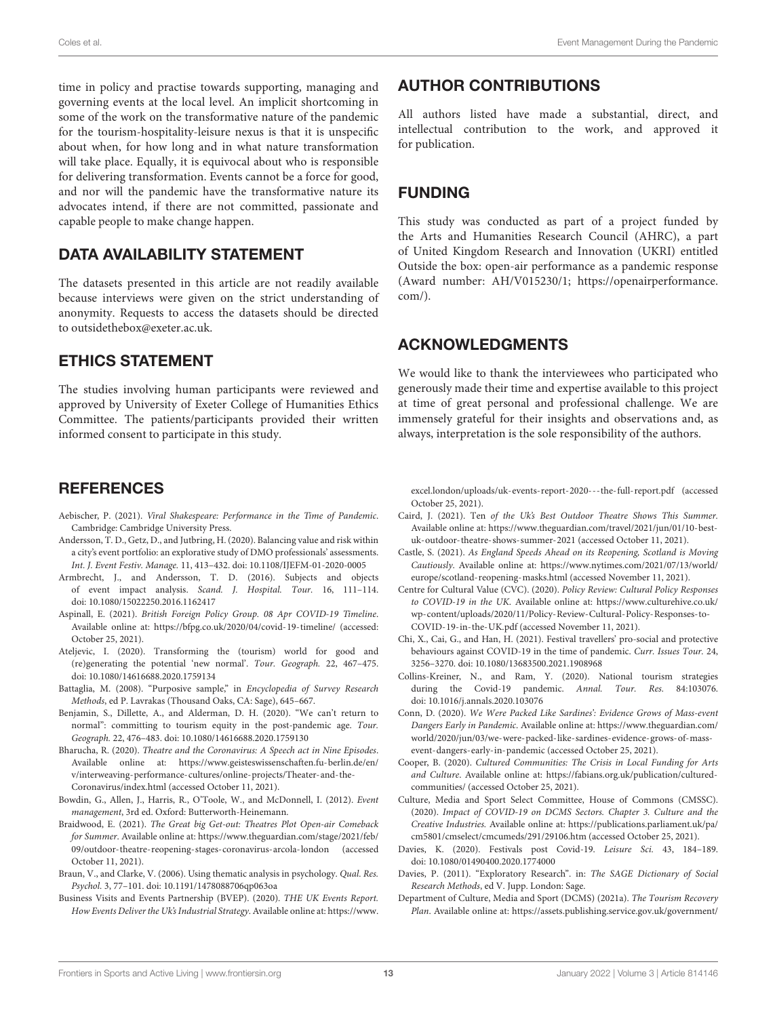time in policy and practise towards supporting, managing and governing events at the local level. An implicit shortcoming in some of the work on the transformative nature of the pandemic for the tourism-hospitality-leisure nexus is that it is unspecific about when, for how long and in what nature transformation will take place. Equally, it is equivocal about who is responsible for delivering transformation. Events cannot be a force for good, and nor will the pandemic have the transformative nature its advocates intend, if there are not committed, passionate and capable people to make change happen.

# DATA AVAILABILITY STATEMENT

The datasets presented in this article are not readily available because interviews were given on the strict understanding of anonymity. Requests to access the datasets should be directed to [outsidethebox@exeter.ac.uk.](mailto:outsidethebox@exeter.ac.uk)

## ETHICS STATEMENT

The studies involving human participants were reviewed and approved by University of Exeter College of Humanities Ethics Committee. The patients/participants provided their written informed consent to participate in this study.

## **REFERENCES**

- <span id="page-12-10"></span>Aebischer, P. (2021). Viral Shakespeare: Performance in the Time of Pandemic. Cambridge: Cambridge University Press.
- <span id="page-12-15"></span>Andersson, T. D., Getz, D., and Jutbring, H. (2020). Balancing value and risk within a city's event portfolio: an explorative study of DMO professionals' assessments. Int. J. Event Festiv. Manage. 11, 413–432. doi: [10.1108/IJEFM-01-2020-0005](https://doi.org/10.1108/IJEFM-01-2020-0005)
- <span id="page-12-12"></span>Armbrecht, J., and Andersson, T. D. (2016). Subjects and objects of event impact analysis. Scand. J. Hospital. Tour. 16, 111–114. doi: [10.1080/15022250.2016.1162417](https://doi.org/10.1080/15022250.2016.1162417)
- <span id="page-12-1"></span>Aspinall, E. (2021). British Foreign Policy Group. 08 Apr COVID-19 Timeline. Available online at:<https://bfpg.co.uk/2020/04/covid-19-timeline/> (accessed: October 25, 2021).
- <span id="page-12-8"></span>Ateljevic, I. (2020). Transforming the (tourism) world for good and (re)generating the potential 'new normal'. Tour. Geograph. 22, 467–475. doi: [10.1080/14616688.2020.1759134](https://doi.org/10.1080/14616688.2020.1759134)
- <span id="page-12-18"></span>Battaglia, M. (2008). "Purposive sample," in Encyclopedia of Survey Research Methods, ed P. Lavrakas (Thousand Oaks, CA: Sage), 645–667.
- <span id="page-12-9"></span>Benjamin, S., Dillette, A., and Alderman, D. H. (2020). "We can't return to normal": committing to tourism equity in the post-pandemic age. Tour. Geograph. 22, 476–483. doi: [10.1080/14616688.2020.1759130](https://doi.org/10.1080/14616688.2020.1759130)
- <span id="page-12-17"></span>Bharucha, R. (2020). Theatre and the Coronavirus: A Speech act in Nine Episodes. Available online at: [https://www.geisteswissenschaften.fu-berlin.de/en/](https://www.geisteswissenschaften.fu-berlin.de/en/v/interweaving-performance-cultures/online-projects/Theater-and-the-Coronavirus/index.html) [v/interweaving-performance-cultures/online-projects/Theater-and-the-](https://www.geisteswissenschaften.fu-berlin.de/en/v/interweaving-performance-cultures/online-projects/Theater-and-the-Coronavirus/index.html)[Coronavirus/index.html](https://www.geisteswissenschaften.fu-berlin.de/en/v/interweaving-performance-cultures/online-projects/Theater-and-the-Coronavirus/index.html) (accessed October 11, 2021).
- <span id="page-12-13"></span>Bowdin, G., Allen, J., Harris, R., O'Toole, W., and McDonnell, I. (2012). Event management, 3rd ed. Oxford: Butterworth-Heinemann.
- <span id="page-12-6"></span>Braidwood, E. (2021). The Great big Get-out: Theatres Plot Open-air Comeback for Summer. Available online at: [https://www.theguardian.com/stage/2021/feb/](https://www.theguardian.com/stage/2021/feb/09/outdoor-theatre-reopening-stages-coronavirus-arcola-london) [09/outdoor-theatre-reopening-stages-coronavirus-arcola-london](https://www.theguardian.com/stage/2021/feb/09/outdoor-theatre-reopening-stages-coronavirus-arcola-london) (accessed October 11, 2021).
- <span id="page-12-19"></span>Braun, V., and Clarke, V. (2006). Using thematic analysis in psychology. Qual. Res. Psychol. 3, 77–101. doi: [10.1191/1478088706qp063oa](https://doi.org/10.1191/1478088706qp063oa)
- <span id="page-12-3"></span>Business Visits and Events Partnership (BVEP). (2020). THE UK Events Report. How Events Deliver the Uk's Industrial Strategy. Available online at: [https://www.](https://www.excel.london/uploads/uk-events-report-2020---the-full-report.pdf)

## AUTHOR CONTRIBUTIONS

All authors listed have made a substantial, direct, and intellectual contribution to the work, and approved it for publication.

# FUNDING

This study was conducted as part of a project funded by the Arts and Humanities Research Council (AHRC), a part of United Kingdom Research and Innovation (UKRI) entitled Outside the box: open-air performance as a pandemic response (Award number: AH/V015230/1; [https://openairperformance.](https://openairperformance.com/)  $com()$ .

# ACKNOWLEDGMENTS

We would like to thank the interviewees who participated who generously made their time and expertise available to this project at time of great personal and professional challenge. We are immensely grateful for their insights and observations and, as always, interpretation is the sole responsibility of the authors.

[excel.london/uploads/uk-events-report-2020---the-full-report.pdf](https://www.excel.london/uploads/uk-events-report-2020---the-full-report.pdf) (accessed October 25, 2021).

- <span id="page-12-11"></span>Caird, J. (2021). Ten of the Uk's Best Outdoor Theatre Shows This Summer. Available online at: [https://www.theguardian.com/travel/2021/jun/01/10-best](https://www.theguardian.com/travel/2021/jun/01/10-best-uk-outdoor-theatre-shows-summer-2021)[uk-outdoor-theatre-shows-summer-2021](https://www.theguardian.com/travel/2021/jun/01/10-best-uk-outdoor-theatre-shows-summer-2021) (accessed October 11, 2021).
- <span id="page-12-20"></span>Castle, S. (2021). As England Speeds Ahead on its Reopening, Scotland is Moving Cautiously. Available online at: [https://www.nytimes.com/2021/07/13/world/](https://www.nytimes.com/2021/07/13/world/europe/scotland-reopening-masks.html) [europe/scotland-reopening-masks.html](https://www.nytimes.com/2021/07/13/world/europe/scotland-reopening-masks.html) (accessed November 11, 2021).
- <span id="page-12-22"></span>Centre for Cultural Value (CVC). (2020). Policy Review: Cultural Policy Responses to COVID-19 in the UK. Available online at: [https://www.culturehive.co.uk/](https://www.culturehive.co.uk/wp-content/uploads/2020/11/Policy-Review-Cultural-Policy-Responses-to-COVID-19-in-the-UK.pdf) [wp-content/uploads/2020/11/Policy-Review-Cultural-Policy-Responses-to-](https://www.culturehive.co.uk/wp-content/uploads/2020/11/Policy-Review-Cultural-Policy-Responses-to-COVID-19-in-the-UK.pdf)[COVID-19-in-the-UK.pdf](https://www.culturehive.co.uk/wp-content/uploads/2020/11/Policy-Review-Cultural-Policy-Responses-to-COVID-19-in-the-UK.pdf) (accessed November 11, 2021).
- <span id="page-12-14"></span>Chi, X., Cai, G., and Han, H. (2021). Festival travellers' pro-social and protective behaviours against COVID-19 in the time of pandemic. Curr. Issues Tour. 24, 3256–3270. doi: [10.1080/13683500.2021.1908968](https://doi.org/10.1080/13683500.2021.1908968)
- <span id="page-12-21"></span>Collins-Kreiner, N., and Ram, Y. (2020). National tourism strategies during the Covid-19 pandemic. Annal. Tour. Res. 84:103076. doi: [10.1016/j.annals.2020.103076](https://doi.org/10.1016/j.annals.2020.103076)
- <span id="page-12-0"></span>Conn, D. (2020). We Were Packed Like Sardines': Evidence Grows of Mass-event Dangers Early in Pandemic. Available online at: [https://www.theguardian.com/](https://www.theguardian.com/world/2020/jun/03/we-were-packed-like-sardines-evidence-grows-of-mass-event-dangers-early-in-pandemic) [world/2020/jun/03/we-were-packed-like-sardines-evidence-grows-of-mass](https://www.theguardian.com/world/2020/jun/03/we-were-packed-like-sardines-evidence-grows-of-mass-event-dangers-early-in-pandemic)[event-dangers-early-in-pandemic](https://www.theguardian.com/world/2020/jun/03/we-were-packed-like-sardines-evidence-grows-of-mass-event-dangers-early-in-pandemic) (accessed October 25, 2021).
- <span id="page-12-7"></span>Cooper, B. (2020). Cultured Communities: The Crisis in Local Funding for Arts and Culture. Available online at: [https://fabians.org.uk/publication/cultured](https://fabians.org.uk/publication/cultured-communities/)[communities/](https://fabians.org.uk/publication/cultured-communities/) (accessed October 25, 2021).
- <span id="page-12-2"></span>Culture, Media and Sport Select Committee, House of Commons (CMSSC). (2020). Impact of COVID-19 on DCMS Sectors. Chapter 3. Culture and the Creative Industries. Available online at: [https://publications.parliament.uk/pa/](https://publications.parliament.uk/pa/cm5801/cmselect/cmcumeds/291/29106.htm) [cm5801/cmselect/cmcumeds/291/29106.htm](https://publications.parliament.uk/pa/cm5801/cmselect/cmcumeds/291/29106.htm) (accessed October 25, 2021).
- <span id="page-12-5"></span>Davies, K. (2020). Festivals post Covid-19. Leisure Sci. 43, 184–189. doi: [10.1080/01490400.2020.1774000](https://doi.org/10.1080/01490400.2020.1774000)
- <span id="page-12-16"></span>Davies, P. (2011). "Exploratory Research". in: The SAGE Dictionary of Social Research Methods, ed V. Jupp. London: Sage.
- <span id="page-12-4"></span>Department of Culture, Media and Sport (DCMS) (2021a). The Tourism Recovery Plan. Available online at: [https://assets.publishing.service.gov.uk/government/](https://assets.publishing.service.gov.uk/government/uploads/system/uploads/attachment_data/file/992974/Tourism_Recovery_Plan__Web_Accessible_.pdf)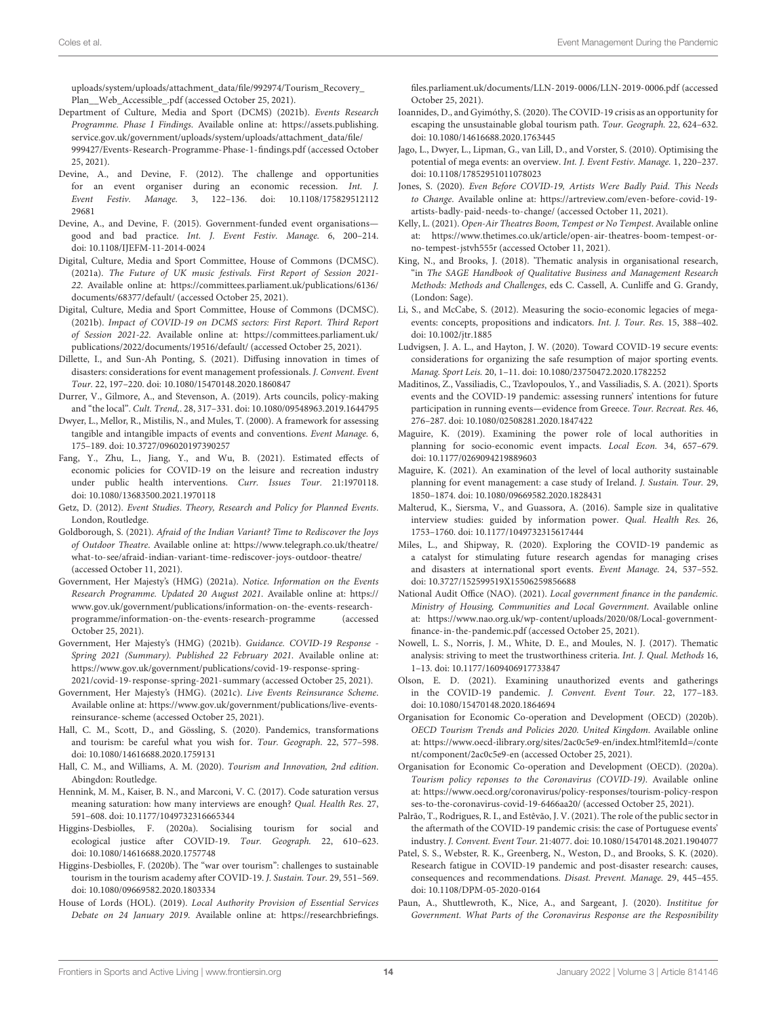[uploads/system/uploads/attachment\\_data/file/992974/Tourism\\_Recovery\\_](https://assets.publishing.service.gov.uk/government/uploads/system/uploads/attachment_data/file/992974/Tourism_Recovery_Plan__Web_Accessible_.pdf) [Plan\\_\\_Web\\_Accessible\\_.pdf](https://assets.publishing.service.gov.uk/government/uploads/system/uploads/attachment_data/file/992974/Tourism_Recovery_Plan__Web_Accessible_.pdf) (accessed October 25, 2021).

- <span id="page-13-31"></span>Department of Culture, Media and Sport (DCMS) (2021b). Events Research Programme. Phase I Findings. Available online at: [https://assets.publishing.](https://assets.publishing.service.gov.uk/government/uploads/system/uploads/attachment_data/file/999427/Events-Research-Programme-Phase-1-findings.pdf) [service.gov.uk/government/uploads/system/uploads/attachment\\_data/file/](https://assets.publishing.service.gov.uk/government/uploads/system/uploads/attachment_data/file/999427/Events-Research-Programme-Phase-1-findings.pdf) [999427/Events-Research-Programme-Phase-1-findings.pdf](https://assets.publishing.service.gov.uk/government/uploads/system/uploads/attachment_data/file/999427/Events-Research-Programme-Phase-1-findings.pdf) (accessed October 25, 2021).
- <span id="page-13-5"></span>Devine, A., and Devine, F. (2012). The challenge and opportunities for an event organiser during an economic recession. Int. J. Event Festiv. Manage. [3, 122–136. doi: 10.1108/175829512112](https://doi.org/10.1108/17582951211229681) 29681
- <span id="page-13-6"></span>Devine, A., and Devine, F. (2015). Government-funded event organisations good and bad practice. Int. J. Event Festiv. Manage. 6, 200–214. doi: [10.1108/IJEFM-11-2014-0024](https://doi.org/10.1108/IJEFM-11-2014-0024)
- <span id="page-13-1"></span>Digital, Culture, Media and Sport Committee, House of Commons (DCMSC). (2021a). The Future of UK music festivals. First Report of Session 2021- 22. Available online at: [https://committees.parliament.uk/publications/6136/](https://committees.parliament.uk/publications/6136/documents/68377/default/) [documents/68377/default/](https://committees.parliament.uk/publications/6136/documents/68377/default/) (accessed October 25, 2021).
- <span id="page-13-3"></span>Digital, Culture, Media and Sport Committee, House of Commons (DCMSC). (2021b). Impact of COVID-19 on DCMS sectors: First Report. Third Report of Session 2021-22. Available online at: [https://committees.parliament.uk/](https://committees.parliament.uk/publications/2022/documents/19516/default/) [publications/2022/documents/19516/default/](https://committees.parliament.uk/publications/2022/documents/19516/default/) (accessed October 25, 2021).
- <span id="page-13-19"></span>Dillette, I., and Sun-Ah Ponting, S. (2021). Diffusing innovation in times of disasters: considerations for event management professionals. J. Convent. Event Tour. 22, 197–220. doi: [10.1080/15470148.2020.1860847](https://doi.org/10.1080/15470148.2020.1860847)
- <span id="page-13-26"></span>Durrer, V., Gilmore, A., and Stevenson, A. (2019). Arts councils, policy-making and "the local". Cult. Trend,. 28, 317–331. doi: [10.1080/09548963.2019.1644795](https://doi.org/10.1080/09548963.2019.1644795)
- <span id="page-13-21"></span>Dwyer, L., Mellor, R., Mistilis, N., and Mules, T. (2000). A framework for assessing tangible and intangible impacts of events and conventions. Event Manage. 6, 175–189. doi: [10.3727/096020197390257](https://doi.org/10.3727/096020197390257)
- <span id="page-13-37"></span>Fang, Y., Zhu, L., Jiang, Y., and Wu, B. (2021). Estimated effects of economic policies for COVID-19 on the leisure and recreation industry under public health interventions. Curr. Issues Tour. 21:1970118. doi: [10.1080/13683500.2021.1970118](https://doi.org/10.1080/13683500.2021.1970118)
- <span id="page-13-14"></span>Getz, D. (2012). Event Studies. Theory, Research and Policy for Planned Events. London, Routledge.
- <span id="page-13-16"></span>Goldborough, S. (2021). Afraid of the Indian Variant? Time to Rediscover the Joys of Outdoor Theatre. Available online at: [https://www.telegraph.co.uk/theatre/](https://www.telegraph.co.uk/theatre/what-to-see/afraid-indian-variant-time-rediscover-joys-outdoor-theatre/) [what-to-see/afraid-indian-variant-time-rediscover-joys-outdoor-theatre/](https://www.telegraph.co.uk/theatre/what-to-see/afraid-indian-variant-time-rediscover-joys-outdoor-theatre/) (accessed October 11, 2021).
- <span id="page-13-0"></span>Government, Her Majesty's (HMG) (2021a). Notice. Information on the Events Research Programme. Updated 20 August 2021. Available online at: [https://](https://www.gov.uk/government/publications/information-on-the-events-research-programme/information-on-the-events-research-programme) [www.gov.uk/government/publications/information-on-the-events-research](https://www.gov.uk/government/publications/information-on-the-events-research-programme/information-on-the-events-research-programme)[programme/information-on-the-events-research-programme](https://www.gov.uk/government/publications/information-on-the-events-research-programme/information-on-the-events-research-programme) (accessed October 25, 2021).
- <span id="page-13-30"></span>Government, Her Majesty's (HMG) (2021b). Guidance. COVID-19 Response - Spring 2021 (Summary). Published 22 February 2021. Available online at: [https://www.gov.uk/government/publications/covid-19-response-spring-](https://www.gov.uk/government/publications/covid-19-response-spring-2021/covid-19-response-spring-2021-summary)[2021/covid-19-response-spring-2021-summary](https://www.gov.uk/government/publications/covid-19-response-spring-2021/covid-19-response-spring-2021-summary) (accessed October 25, 2021).
- <span id="page-13-39"></span>Government, Her Majesty's (HMG). (2021c). Live Events Reinsurance Scheme. Available online at: [https://www.gov.uk/government/publications/live-events](https://www.gov.uk/government/publications/live-events-reinsurance-scheme)[reinsurance-scheme](https://www.gov.uk/government/publications/live-events-reinsurance-scheme) (accessed October 25, 2021).
- <span id="page-13-10"></span>Hall, C. M., Scott, D., and Gössling, S. (2020). Pandemics, transformations and tourism: be careful what you wish for. Tour. Geograph. 22, 577–598. doi: [10.1080/14616688.2020.1759131](https://doi.org/10.1080/14616688.2020.1759131)
- <span id="page-13-36"></span>Hall, C. M., and Williams, A. M. (2020). Tourism and Innovation, 2nd edition. Abingdon: Routledge.
- <span id="page-13-33"></span>Hennink, M. M., Kaiser, B. N., and Marconi, V. C. (2017). Code saturation versus meaning saturation: how many interviews are enough? Qual. Health Res. 27, 591–608. doi: [10.1177/1049732316665344](https://doi.org/10.1177/1049732316665344)
- <span id="page-13-11"></span>Higgins-Desbiolles, F. (2020a). Socialising tourism for social and ecological justice after COVID-19. Tour. Geograph. 22, 610–623. doi: [10.1080/14616688.2020.1757748](https://doi.org/10.1080/14616688.2020.1757748)
- <span id="page-13-13"></span>Higgins-Desbiolles, F. (2020b). The "war over tourism": challenges to sustainable tourism in the tourism academy after COVID-19. J. Sustain. Tour. 29, 551–569. doi: [10.1080/09669582.2020.1803334](https://doi.org/10.1080/09669582.2020.1803334)
- <span id="page-13-8"></span>House of Lords (HOL). (2019). Local Authority Provision of Essential Services Debate on 24 January 2019. Available online at: [https://researchbriefings.](https://researchbriefings.files.parliament.uk/documents/LLN-2019-0006/LLN-2019-0006.pdf)

[files.parliament.uk/documents/LLN-2019-0006/LLN-2019-0006.pdf](https://researchbriefings.files.parliament.uk/documents/LLN-2019-0006/LLN-2019-0006.pdf) (accessed October 25, 2021).

- <span id="page-13-12"></span>Ioannides, D., and Gyimóthy, S. (2020). The COVID-19 crisis as an opportunity for escaping the unsustainable global tourism path. Tour. Geograph. 22, 624–632. doi: [10.1080/14616688.2020.1763445](https://doi.org/10.1080/14616688.2020.1763445)
- <span id="page-13-23"></span>Jago, L., Dwyer, L., Lipman, G., van Lill, D., and Vorster, S. (2010). Optimising the potential of mega events: an overview. Int. J. Event Festiv. Manage. 1, 220–237. doi: [10.1108/17852951011078023](https://doi.org/10.1108/17852951011078023)
- <span id="page-13-38"></span>Jones, S. (2020). Even Before COVID-19, Artists Were Badly Paid. This Needs to Change. Available online at: [https://artreview.com/even-before-covid-19](https://artreview.com/even-before-covid-19-artists-badly-paid-needs-to-change/) [artists-badly-paid-needs-to-change/](https://artreview.com/even-before-covid-19-artists-badly-paid-needs-to-change/) (accessed October 11, 2021).
- <span id="page-13-17"></span>Kelly, L. (2021). Open-Air Theatres Boom, Tempest or No Tempest. Available online at: [https://www.thetimes.co.uk/article/open-air-theatres-boom-tempest-or](https://www.thetimes.co.uk/article/open-air-theatres-boom-tempest-or-no-tempest-jstvh555r)[no-tempest-jstvh555r](https://www.thetimes.co.uk/article/open-air-theatres-boom-tempest-or-no-tempest-jstvh555r) (accessed October 11, 2021).
- <span id="page-13-35"></span>King, N., and Brooks, J. (2018). 'Thematic analysis in organisational research, "in The SAGE Handbook of Qualitative Business and Management Research Methods: Methods and Challenges, eds C. Cassell, A. Cunliffe and G. Grandy, (London: Sage).
- <span id="page-13-22"></span>Li, S., and McCabe, S. (2012). Measuring the socio-economic legacies of megaevents: concepts, propositions and indicators. Int. J. Tour. Res. 15, 388–402. doi: [10.1002/jtr.1885](https://doi.org/10.1002/jtr.1885)
- <span id="page-13-24"></span>Ludvigsen, J. A. L., and Hayton, J. W. (2020). Toward COVID-19 secure events: considerations for organizing the safe resumption of major sporting events. Manag. Sport Leis. 20, 1–11. doi: [10.1080/23750472.2020.1782252](https://doi.org/10.1080/23750472.2020.1782252)
- <span id="page-13-18"></span>Maditinos, Z., Vassiliadis, C., Tzavlopoulos, Y., and Vassiliadis, S. A. (2021). Sports events and the COVID-19 pandemic: assessing runners' intentions for future participation in running events—evidence from Greece. Tour. Recreat. Res. 46, 276–287. doi: [10.1080/02508281.2020.1847422](https://doi.org/10.1080/02508281.2020.1847422)
- <span id="page-13-4"></span>Maguire, K. (2019). Examining the power role of local authorities in planning for socio-economic event impacts. Local Econ. 34, 657–679. doi: [10.1177/0269094219889603](https://doi.org/10.1177/0269094219889603)
- <span id="page-13-7"></span>Maguire, K. (2021). An examination of the level of local authority sustainable planning for event management: a case study of Ireland. J. Sustain. Tour. 29, 1850–1874. doi: [10.1080/09669582.2020.1828431](https://doi.org/10.1080/09669582.2020.1828431)
- <span id="page-13-32"></span>Malterud, K., Siersma, V., and Guassora, A. (2016). Sample size in qualitative interview studies: guided by information power. Qual. Health Res. 26, 1753–1760. doi: [10.1177/1049732315617444](https://doi.org/10.1177/1049732315617444)
- <span id="page-13-25"></span>Miles, L., and Shipway, R. (2020). Exploring the COVID-19 pandemic as a catalyst for stimulating future research agendas for managing crises and disasters at international sport events. Event Manage. 24, 537–552. doi: [10.3727/152599519X15506259856688](https://doi.org/10.3727/152599519X15506259856688)
- <span id="page-13-9"></span>National Audit Office (NAO). (2021). Local government finance in the pandemic. Ministry of Housing, Communities and Local Government. Available online at: [https://www.nao.org.uk/wp-content/uploads/2020/08/Local-government](https://www.nao.org.uk/wp-content/uploads/2020/08/Local-government-finance-in-the-pandemic.pdf)[finance-in-the-pandemic.pdf](https://www.nao.org.uk/wp-content/uploads/2020/08/Local-government-finance-in-the-pandemic.pdf) (accessed October 25, 2021).
- <span id="page-13-34"></span>Nowell, L. S., Norris, J. M., White, D. E., and Moules, N. J. (2017). Thematic analysis: striving to meet the trustworthiness criteria. Int. J. Qual. Methods 16, 1–13. doi: [10.1177/1609406917733847](https://doi.org/10.1177/1609406917733847)
- <span id="page-13-15"></span>Olson, E. D. (2021). Examining unauthorized events and gatherings in the COVID-19 pandemic. J. Convent. Event Tour. 22, 177–183. doi: [10.1080/15470148.2020.1864694](https://doi.org/10.1080/15470148.2020.1864694)
- <span id="page-13-27"></span>Organisation for Economic Co-operation and Development (OECD) (2020b). OECD Tourism Trends and Policies 2020. United Kingdom. Available online [at: https://www.oecd-ilibrary.org/sites/2ac0c5e9-en/index.html?itemId=/conte](https://www.oecd-ilibrary.org/sites/2ac0c5e9-en/index.html?itemId=/content/component/2ac0c5e9-en) nt/component/2ac0c5e9-en (accessed October 25, 2021).
- <span id="page-13-2"></span>Organisation for Economic Co-operation and Development (OECD). (2020a). Tourism policy reponses to the Coronavirus (COVID-19). Available online [at: https://www.oecd.org/coronavirus/policy-responses/tourism-policy-respon](https://www.oecd.org/coronavirus/policy-responses/tourism-policy-responses-to-the-coronavirus-covid-19-6466aa20/) ses-to-the-coronavirus-covid-19-6466aa20/ (accessed October 25, 2021).
- <span id="page-13-20"></span>Palrão, T., Rodrigues, R. I., and Estêvão, J. V. (2021). The role of the public sector in the aftermath of the COVID-19 pandemic crisis: the case of Portuguese events' industry. J. Convent. Event Tour. 21:4077. doi: [10.1080/15470148.2021.1904077](https://doi.org/10.1080/15470148.2021.1904077)
- <span id="page-13-29"></span>Patel, S. S., Webster, R. K., Greenberg, N., Weston, D., and Brooks, S. K. (2020). Research fatigue in COVID-19 pandemic and post-disaster research: causes, consequences and recommendations. Disast. Prevent. Manage. 29, 445–455. doi: [10.1108/DPM-05-2020-0164](https://doi.org/10.1108/DPM-05-2020-0164)
- <span id="page-13-28"></span>Paun, A., Shuttlewroth, K., Nice, A., and Sargeant, J. (2020). Instititue for Government. What Parts of the Coronavirus Response are the Resposnibility